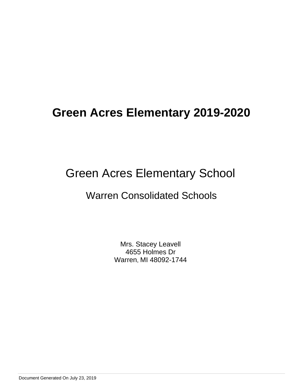# Green Acres Elementary School

## Warren Consolidated Schools

Mrs. Stacey Leavell 4655 Holmes Dr Warren, MI 48092-1744

Document Generated On July 23, 2019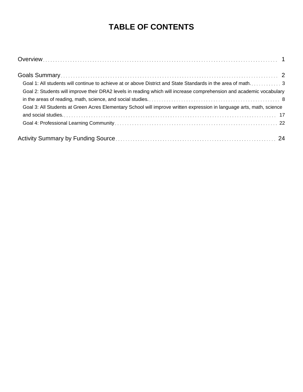## **TABLE OF CONTENTS**

| Goal 2: Students will improve their DRA2 levels in reading which will increase comprehension and academic vocabulary  |
|-----------------------------------------------------------------------------------------------------------------------|
|                                                                                                                       |
| Goal 3: All Students at Green Acres Elementary School will improve written expression in language arts, math, science |
|                                                                                                                       |
|                                                                                                                       |
|                                                                                                                       |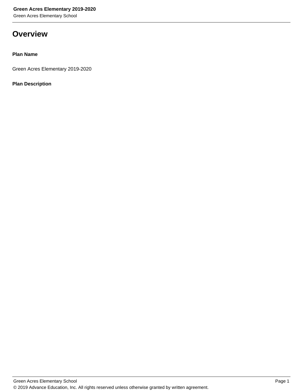Green Acres Elementary School

## **Overview**

#### **Plan Name**

Green Acres Elementary 2019-2020

#### **Plan Description**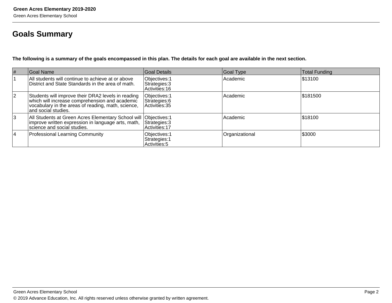## **Goals Summary**

**The following is a summary of the goals encompassed in this plan. The details for each goal are available in the next section.**

| #              | Goal Name                                                                                                                                                                         | Goal Details                                     | Goal Type      | <b>Total Funding</b> |
|----------------|-----------------------------------------------------------------------------------------------------------------------------------------------------------------------------------|--------------------------------------------------|----------------|----------------------|
|                | All students will continue to achieve at or above<br>District and State Standards in the area of math.                                                                            | Objectives: 1<br>Strategies: 3<br>Activities: 16 | Academic       | \$13100              |
| $\overline{2}$ | Students will improve their DRA2 levels in reading<br>which will increase comprehension and academic<br>vocabulary in the areas of reading, math, science,<br>and social studies. | Objectives: 1<br>Strategies: 6<br>Activities: 35 | Academic       | \$181500             |
| 3              | All Students at Green Acres Elementary School will Objectives: 1<br>improve written expression in language arts, math,<br>science and social studies.                             | Strategies: 3<br>Activities: 17                  | Academic       | \$18100              |
| 4              | <b>Professional Learning Community</b>                                                                                                                                            | Objectives: 1<br>Strategies: 1<br>Activities: 5  | Organizational | \$3000               |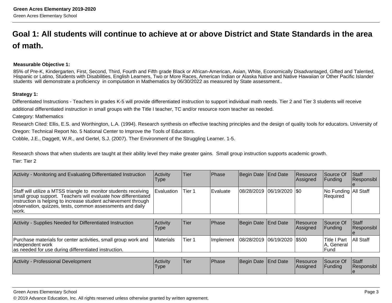## **Goal 1: All students will continue to achieve at or above District and State Standards in the areaof math.**

#### **Measurable Objective 1:**

85% of Pre-K, Kindergarten, First, Second, Third, Fourth and Fifth grade Black or African-American, Asian, White, Economically Disadvantaged, Gifted and Talented, Hispanic or Latino, Students with Disabilities, English Learners, Two or More Races, American Indian or Alaska Native and Native Hawaiian or Other Pacific Islanderstudents will demonstrate a proficiency in computation in Mathematics by 06/30/2022 as measured by State assessment..

#### **Strategy 1:**

Differentiated Instructions - Teachers in grades K-5 will provide differentiated instruction to support individual math needs. Tier 2 and Tier 3 students will receiveadditional differentiated instruction in small groups with the Title I teacher, TC and/or resource room teacher as needed.

Category: Mathematics

Research Cited: Ellis, E.S. and Worthington, L.A. (1994). Research synthesis on effective teaching principles and the design of quality tools for educators. University ofOregon: Technical Report No. 5 National Center to Improve the Tools of Educators.

Cobble, J.E., Daggett, W.R., and Gertel, S.J. (2007). Ther Environment of the Struggling Learner. 1-5.

Research shows that when students are taught at their ability level they make greater gains. Small group instruction supports academic growth.Tier: Tier 2

| Activity - Monitoring and Evaluating Differentiated Instruction                                                                                                                                                                                                                         | <b>Activity</b><br><b>Type</b> | <b>Tier</b> | <b>IPhase</b> | Begin Date   End Date         | Resource<br><b>Assigned</b> | <b>Source Of</b><br><b>IFunding</b> | <b>Staff</b><br>Responsibl |
|-----------------------------------------------------------------------------------------------------------------------------------------------------------------------------------------------------------------------------------------------------------------------------------------|--------------------------------|-------------|---------------|-------------------------------|-----------------------------|-------------------------------------|----------------------------|
| Staff will utilize a MTSS triangle to monitor students receiving   Evaluation<br>small group support. Teachers will evaluate how differentiated<br>instruction is helping to increase student achievement through<br>observation, quizzes, tests, common assessments and daily<br>work. |                                | Tier 1      | l Evaluate    | $ 08/28/2019 06/19/2020 $ \$0 |                             | No Funding All Staff<br>Required    |                            |

| Activity - Supplies Needed for Differentiated Instruction                                                                                    | <b>Activity</b><br>Type | Tier   | Phase      | Begin Date End Date           | Resource<br>lAssianed | <b>Source Of</b><br>IFundina         | <b>Staff</b><br><b>Responsibl</b> |
|----------------------------------------------------------------------------------------------------------------------------------------------|-------------------------|--------|------------|-------------------------------|-----------------------|--------------------------------------|-----------------------------------|
| Purchase materials for center activities, small group work and<br> independent work <br>as needed for use during differentiated instruction. | <b>IMaterials</b>       | Tier 1 | Ilmplement | 08/28/2019  06/19/2020  \$500 |                       | lTitle I Part<br>, General<br>lFund. | <b>All Staff</b>                  |

| <b>Activity</b><br>v - Professional Development | ∣Activit∨<br><b>Type</b> | <sup>I</sup> Tier | <b>Phase</b> | Begin Date End Date | <b>Resource</b><br><b>IAssigned</b> | Source Of<br>Funding | Staff<br>Responsibl |
|-------------------------------------------------|--------------------------|-------------------|--------------|---------------------|-------------------------------------|----------------------|---------------------|
|                                                 |                          |                   |              |                     |                                     |                      |                     |

#### Green Acres Elementary School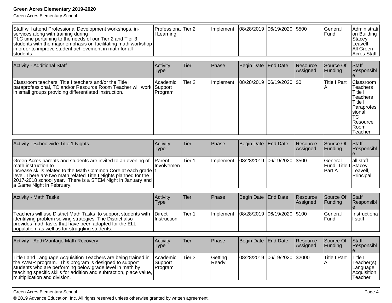Green Acres Elementary School

| Staff will attend Professional Development workshops, in-<br>services along with training during<br> PLC time pertaining to the needs of our Tier 2 and Tier 3<br>students with the major emphasis on facilitating math workshop<br>In order to improve student achievement in math for all<br>students. | Professiona Tier 2<br>Learning |  | <b>Ilmplement</b> |  | 08/28/2019  06/19/2020  \$500 |  | lGeneral<br>lFund | IAdministrati l<br>on Building<br>Stacey<br>Leavell<br>IAII Green<br>Acres Staff |
|----------------------------------------------------------------------------------------------------------------------------------------------------------------------------------------------------------------------------------------------------------------------------------------------------------|--------------------------------|--|-------------------|--|-------------------------------|--|-------------------|----------------------------------------------------------------------------------|
|----------------------------------------------------------------------------------------------------------------------------------------------------------------------------------------------------------------------------------------------------------------------------------------------------------|--------------------------------|--|-------------------|--|-------------------------------|--|-------------------|----------------------------------------------------------------------------------|

| <b>Activity - Additional Staff</b>                                                                                                                                                        | Activity<br>Type     | Tier   | Phase     | Begin Date End Date           | Resource<br>Assigned | Source Of<br> Funding | <b>Staff</b><br>Responsibl                                                                                                                  |
|-------------------------------------------------------------------------------------------------------------------------------------------------------------------------------------------|----------------------|--------|-----------|-------------------------------|----------------------|-----------------------|---------------------------------------------------------------------------------------------------------------------------------------------|
| Classroom teachers, Title I teachers and/or the Title I<br>paraprofessional, TC and/or Resource Room Teacher will work   Support<br>in small groups providing differentiated instruction. | Academic <br>Program | Tier 2 | Implement | $ 08/28/2019 06/19/2020 $ \$0 |                      | <b>Title I Part</b>   | Classroom<br><b>Teachers</b><br>Title I<br><b>Teachers</b><br>Title I<br>Paraprofes<br>Isional<br>ТC<br><b>Resource</b><br>IRoom<br>Teacher |

| Activity - Schoolwide Title 1 Nights                                                                                                                                                                                                                                                                                         | Activity<br>Type             | <b>Tier</b> | Phase                                       | Begin Date End Date | Resource<br><b>Assigned</b> | Source Of<br><b>IFunding</b>                              | <b>Staff</b><br>Responsibl          |
|------------------------------------------------------------------------------------------------------------------------------------------------------------------------------------------------------------------------------------------------------------------------------------------------------------------------------|------------------------------|-------------|---------------------------------------------|---------------------|-----------------------------|-----------------------------------------------------------|-------------------------------------|
| Green Acres parents and students are invited to an evening of<br>Imath instruction to<br>increase skills related to the Math Common Core at each grade  t<br>level. There are two math related Title I Nights planned for the<br> 2017-2018 school year. There is a STEM Night in January and  <br>a Game Night in February. | <b>Parent</b><br>Ilnvolvemen | Tier 1      | Implement   08/28/2019   06/19/2020   \$500 |                     |                             | lGeneral<br><b>Fund, Title I</b> Stacey<br><b>IPart A</b> | all staff<br>ILeavell.<br>Principal |

| <b>Activity - Math Tasks</b>                                                                                                                                                                                                             | <b>Activity</b><br>Type       | 'Tier  | <b>IPhase</b> | Begin Date End Date                         | <b>Resource</b><br><b>Assigned</b> | Source Of<br>IFundina     | <b>Staff</b><br><b>Responsibl</b> |
|------------------------------------------------------------------------------------------------------------------------------------------------------------------------------------------------------------------------------------------|-------------------------------|--------|---------------|---------------------------------------------|------------------------------------|---------------------------|-----------------------------------|
| Teachers will use District Math Tasks to support students with<br>lidentifying problem solving strategies. The District also<br>provides math tasks that have been adapted for the ELL<br>population as well as for struggling students. | <b>IDirect</b><br>Instruction | Tier 1 |               | Implement   08/28/2019   06/19/2020   \$100 |                                    | <b>IGeneral</b><br>l Fund | Ilnstructiona<br>ll staff         |

| Activity - Add+Vantage Math Recovery                                                                                                                                                                                                                                                            | Activity<br>Type                 | lTier: | <b>Phase</b>     | Begin Date   End Date        | Resource<br><b>Assigned</b> | Source Of<br><b>IFundina</b> | <b>Staff</b><br><b>Responsibl</b>                                     |
|-------------------------------------------------------------------------------------------------------------------------------------------------------------------------------------------------------------------------------------------------------------------------------------------------|----------------------------------|--------|------------------|------------------------------|-----------------------------|------------------------------|-----------------------------------------------------------------------|
| Title I and Language Acquisition Teachers are being trained in<br>the AVMR program. This program is designed to support<br>students who are performing below grade level in math by<br>  teaching specific skills for addition and subtraction, place value,  <br>Imultiplication and division. | Academic<br> Support<br> Program | Tier 3 | Getting<br>Ready | 08/28/2019 06/19/2020 \$2000 |                             | lTitle I Part                | lTitle i<br>'Teacher(s)<br> Language<br><b>Acquisition</b><br>Teacher |

#### Green Acres Elementary School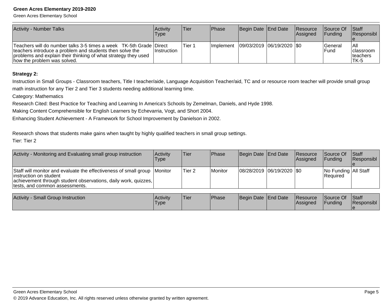Green Acres Elementary School

| <b>Activity - Number Talks</b>                                                                                                                                                                                                  | Activity<br>Type | Tier   | <b>Phase</b>      | Begin Date End Date         | <b>Resource</b><br><b>Assigned</b> | <b>Source Of</b><br><b>IFunding</b> | <b>Staff</b><br>Responsibl                            |
|---------------------------------------------------------------------------------------------------------------------------------------------------------------------------------------------------------------------------------|------------------|--------|-------------------|-----------------------------|------------------------------------|-------------------------------------|-------------------------------------------------------|
| Teachers will do number talks 3-5 times a week TK-5th Grade Direct<br>teachers introduce a problem and students then solve the<br>problems and explain their thinking of what strategy they used<br>how the problem was solved. | ∣Instruction     | Tier 1 | <b>Ilmplement</b> | 09/03/2019  06/19/2020  \$0 |                                    | l General<br><b>IFund</b>           | <b>All</b><br><b>Iclassroom</b><br>Iteachers<br>'TK-5 |

#### **Strategy 2:**

Instruction in Small Groups - Classroom teachers, Title I teacher/aide, Language Acquisition Teacher/aid, TC and or resource room teacher will provide small groupmath instruction for any Tier 2 and Tier 3 students needing additional learning time.

Category: Mathematics

Research Cited: Best Practice for Teaching and Learning In America's Schools by Zemelman, Daniels, and Hyde 1998.

Making Content Comprehensible for English Learners by Echevarria, Vogt, and Short 2004.

Enhancing Student Achievement - A Framework for School Improvement by Danielson in 2002.

Research shows that students make gains when taught by highly qualified teachers in small group settings.

Tier: Tier 2

| Activity - Monitoring and Evaluating small group instruction                                                                                                                                            | Activitv<br>Type | <b>Tier</b>       | Phase   | Begin Date   End Date         | <b>Resource</b><br>Assigned | <b>Source Of</b><br><b>IFundina</b> | <b>Staff</b><br>Responsibl |
|---------------------------------------------------------------------------------------------------------------------------------------------------------------------------------------------------------|------------------|-------------------|---------|-------------------------------|-----------------------------|-------------------------------------|----------------------------|
| Staff will monitor and evaluate the effectiveness of small group Monitor<br>linstruction on student<br>achievement through student observations, daily work, quizzes,<br>tests, and common assessments. |                  | Tier <sub>2</sub> | Monitor | $ 08/28/2019 06/19/2020 $ \$0 |                             | No Funding All Staff<br>Required    |                            |

| Activity<br><b>Small Group Instruction</b> | Activity<br>'Type | <b>Tier</b> | Phase | Begin Date End Date |  | <b>Resource</b><br><b>Assigned</b> | Source Of<br>Funding | <b>Staff</b><br>Responsibl |
|--------------------------------------------|-------------------|-------------|-------|---------------------|--|------------------------------------|----------------------|----------------------------|
|--------------------------------------------|-------------------|-------------|-------|---------------------|--|------------------------------------|----------------------|----------------------------|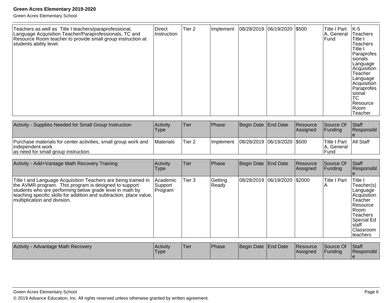| Teachers as well as Title I teachers/paraprofessional,<br>Language Acquisition Teacher/Paraprofessionals, TC and<br>Resource Room teacher to provide small group instruction at<br>students ability level. | Direct<br>Instruction | Tier <sub>2</sub> | Implement  08/28/2019  06/19/2020  \$500 |  | Title I Part<br>A, General<br><b>IFund</b> | IK-5<br><b>Teachers</b><br>Title I<br><b>Teachers</b><br>Title I<br>Paraprofes<br>Isionals<br>Language<br>Acquisition<br>Teacher<br>Language<br>Acquisition<br>Paraprofes<br><b>Sional</b><br> TC<br>l Resource<br> Room |
|------------------------------------------------------------------------------------------------------------------------------------------------------------------------------------------------------------|-----------------------|-------------------|------------------------------------------|--|--------------------------------------------|--------------------------------------------------------------------------------------------------------------------------------------------------------------------------------------------------------------------------|
|                                                                                                                                                                                                            |                       |                   |                                          |  |                                            | Teacher                                                                                                                                                                                                                  |

| Activity - Supplies Needed for Small Group Instruction                                                                      | <b>Activity</b><br>Type | Tier   | Phase             | Begin Date End Date           | <b>Resource</b><br><b>Assigned</b> | Source Of<br>IFundina                      | <b>Staff</b><br>Responsibl |
|-----------------------------------------------------------------------------------------------------------------------------|-------------------------|--------|-------------------|-------------------------------|------------------------------------|--------------------------------------------|----------------------------|
| Purchase materials for center activities, small group work and<br>lindependent work<br>as need for small group instruction. | <b>IMaterials</b>       | Tier 2 | <b>Ilmplement</b> | 08/28/2019  06/19/2020  \$500 |                                    | Title I Part<br>IA. General<br><b>Fund</b> | <b>All Staff</b>           |

| Activity - Add+Vantage Math Recovery Training                                                                                                                                                                                                                                              | Activity<br>Type                | Tier   | Phase            | Begin Date End Date          | Resource<br>Assigned | Source Of<br><b>IFundina</b>          | <b>Staff</b><br>Responsibl                                                                                                                                        |
|--------------------------------------------------------------------------------------------------------------------------------------------------------------------------------------------------------------------------------------------------------------------------------------------|---------------------------------|--------|------------------|------------------------------|----------------------|---------------------------------------|-------------------------------------------------------------------------------------------------------------------------------------------------------------------|
| Title I and Language Acquisition Teachers are being trained in<br>the AVMR program. This program is designed to support<br>students who are performing below grade level in math by<br>teaching specific skills for addition and subtraction, place value,<br>multiplication and division. | Academic <br>Support<br>Program | Tier 3 | Getting<br>Ready | 08/28/2019 06/19/2020 \$2000 |                      | <b>Title I Part</b><br>$\overline{A}$ | Title I<br>Teacher(s)<br>Language<br> Acquisition_<br>Teacher<br><b>IResource</b><br>l Room<br>Teachers<br>lSpecial Ed<br>Istaff<br><b>Classroom</b><br>Iteachers |

| <b>Activity</b><br>- Advantage Math Recovery | Activity<br>'Type | 'Tier | <b>Phase</b> | Begin Date End Date |  | <b>Resource</b><br><b>Assigned</b> | Source Of<br>Funding | <b>Staff</b><br><b>Responsibl</b> |
|----------------------------------------------|-------------------|-------|--------------|---------------------|--|------------------------------------|----------------------|-----------------------------------|
|----------------------------------------------|-------------------|-------|--------------|---------------------|--|------------------------------------|----------------------|-----------------------------------|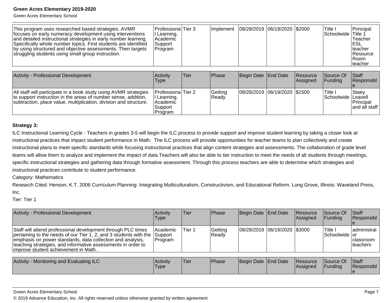Green Acres Elementary School

| This program uses researched based strategies. AVMR<br>focuses on early numeracy development using interventions<br>and detailed instructional strategies in early number learning.<br>Specifically whole number topics. First students are identified<br>by using structured and objective assessments. Then targets<br>struggling students using small group instruction. | Professiona Tier 3<br>Learning,<br>Academic<br>Support<br>Program |      | Implement          | 08/28/2019 06/19/2020 \$2000   |                                    | lTitle I<br><b>Schoolwide Title 1</b> | Principal<br>Teacher<br>IESL<br>Iteacher<br>l Resource<br>IRoom.<br>Iteacher |
|-----------------------------------------------------------------------------------------------------------------------------------------------------------------------------------------------------------------------------------------------------------------------------------------------------------------------------------------------------------------------------|-------------------------------------------------------------------|------|--------------------|--------------------------------|------------------------------------|---------------------------------------|------------------------------------------------------------------------------|
|                                                                                                                                                                                                                                                                                                                                                                             |                                                                   |      |                    |                                |                                    |                                       |                                                                              |
| <b>Activity - Professional Development</b>                                                                                                                                                                                                                                                                                                                                  | Activity<br>Type                                                  | Tier | Phase              | Begin Date End Date            | <b>Resource</b><br><b>Assigned</b> | <b>Source Of</b><br>IFundina          | <b>Staff</b><br> Responsibl                                                  |
| $ \Delta $ etaff will participate in a book study using $\Delta$ VMR strategies                                                                                                                                                                                                                                                                                             | DrofeccionalTier 2                                                |      | C <sub>atfin</sub> | 108/28/2019 106/19/2020 191500 |                                    | ا ها#Ti                               | I Staav                                                                      |

| All staff will participate in a book study using AVMR strategies   Professiona Tier 2<br>Ito support instruction in the areas of number sense. addition.<br>subtraction, place value, multiplication, division and structure.<br>Support<br>Program | I Learning.<br>l Academic | Getting<br>Ready | 08/28/2019  06/19/2020  \$1500 |  |  | 'Title<br>Schoolwide Leavell | Staey<br><b>Principal</b><br>and all staff |
|-----------------------------------------------------------------------------------------------------------------------------------------------------------------------------------------------------------------------------------------------------|---------------------------|------------------|--------------------------------|--|--|------------------------------|--------------------------------------------|
|-----------------------------------------------------------------------------------------------------------------------------------------------------------------------------------------------------------------------------------------------------|---------------------------|------------------|--------------------------------|--|--|------------------------------|--------------------------------------------|

#### **Strategy 3:**

ILC Instructional Learning Cycle - Teachers in grades 3-5 will begin the ILC process to provide support and improve student learning by taking a closer look atinstructional practices that impact student performance in Math. The ILC process will provide opportunities for teacher teams to plan collectively and create instructional plans to meet specific standards while focusing instructional practices that align content strategies and assessments. The collaboration of grade levelteams will allow them to analyze and implement the impact of data.Teachers will also be able to tier instruction to meet the needs of all students through meetings,specific instructional strategies and gathering data through formative assessment. Through this process teachers are able to determine which strategies andinstructional practices contribute to student performance.

Category: Mathematics

Research Cited: Henson, K.T. 2006 Curriculum Planning: Integrating Multiculturalism, Constructivism, and Educational Reform. Long Grove, Illinois: Waveland Press, Inc.

Tier: Tier 1

| Activity - Professional Development                                                                                                                                                                                                                                                                             | Activity<br>Type           | Tier   | Phase            | Begin Date End Date          | <b>IResource</b><br><b>Assigned</b> | Source Of<br><b>IFunding</b> | Staff<br>Responsibl                           |
|-----------------------------------------------------------------------------------------------------------------------------------------------------------------------------------------------------------------------------------------------------------------------------------------------------------------|----------------------------|--------|------------------|------------------------------|-------------------------------------|------------------------------|-----------------------------------------------|
| Staff will attend professional development through PLC times<br>pertaining to the needs of our Tier 1, 2, and 3 students with the Support<br>emphasis on power standards, data collection and analysis,<br>teaching strategies, and informative assessments in order to<br>improve student achievement in Math. | <b>Academic</b><br>Program | Tier 1 | Getting<br>Ready | 08/28/2019 06/19/2020 \$3000 |                                     | 'Title I<br>Schoolwide or    | administrat<br><b>Iclassroom</b><br>Iteachers |
| Activity - Monitoring and Evaluating ILC                                                                                                                                                                                                                                                                        | <b>Activity</b><br>Type    | Tier   | Phase            | Begin Date End Date          | <b>Resource</b><br>Assigned         | Source Of<br><b>IFunding</b> | Staff<br><b>Responsibl</b>                    |

© 2019 Advance Education, Inc. All rights reserved unless otherwise granted by written agreement.

e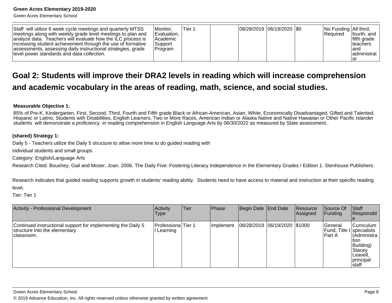Green Acres Elementary School

| Staff will utilize 6 week cycle meetings and quarterly MTSS<br>meetings along with weekly grade level meetings to plan and<br>analyze data. Teachers will evaluate how the ILC process is<br>increasing student achievement through the use of formative<br>assessments, assessing daily instructional strategies, grade<br>llevel power standards and data collection. | <i>I</i> Monitor.<br>Evaluation,<br><b>Academic</b><br> Support <br> Program | Tier 1 |  |  | 08/28/2019  06/19/2020  \$0 |  | No Funding All third,<br><b>Required</b> | lfourth, and<br>lfifth grade<br>Iteachers<br>land<br>ladministrat<br>ıor |
|-------------------------------------------------------------------------------------------------------------------------------------------------------------------------------------------------------------------------------------------------------------------------------------------------------------------------------------------------------------------------|------------------------------------------------------------------------------|--------|--|--|-----------------------------|--|------------------------------------------|--------------------------------------------------------------------------|
|-------------------------------------------------------------------------------------------------------------------------------------------------------------------------------------------------------------------------------------------------------------------------------------------------------------------------------------------------------------------------|------------------------------------------------------------------------------|--------|--|--|-----------------------------|--|------------------------------------------|--------------------------------------------------------------------------|

## **Goal 2: Students will improve their DRA2 levels in reading which will increase comprehensionand academic vocabulary in the areas of reading, math, science, and social studies.**

#### **Measurable Objective 1:**

85% of Pre-K, Kindergarten, First, Second, Third, Fourth and Fifth grade Black or African-American, Asian, White, Economically Disadvantaged, Gifted and Talented, Hispanic or Latino, Students with Disabilities, English Learners, Two or More Races, American Indian or Alaska Native and Native Hawaiian or Other Pacific Islanderstudents will demonstrate a proficiency in reading comprehension in English Language Arts by 06/30/2022 as measured by State assessment..

#### **(shared) Strategy 1:**

Daily 5 - Teachers utilize the Daily 5 structure to allow more time to do guided reading with

individual students and small groups.

Category: English/Language Arts

Research Cited: Boushey, Gail and Moser, Joan. 2006. The Daily Five: Fostering Literacy Independence in the Elementary Grades / Edition 1. Stenhouse Publishers.

Research indicates that guided reading supports growth in students' reading ability. Students need to have access to material and instruction at their specific readinglevel.

Tier: Tier 1

| Activity - Professional Development                                                                          | Activity<br><b>Type</b>        | <b>Tier</b> | Phase            | Begin Date   End Date        | Resource<br>Assigned | Source Of<br> Funding                             | Staff<br>Responsibl                                                                            |
|--------------------------------------------------------------------------------------------------------------|--------------------------------|-------------|------------------|------------------------------|----------------------|---------------------------------------------------|------------------------------------------------------------------------------------------------|
| Continued instructional support for implementing the Daily 5<br>structure into the elementary<br>Iclassroom. | Professiona Tier 1<br>Learning |             | <b>Implement</b> | 08/28/2019 06/19/2020 \$1000 |                      | lGeneral<br> Fund, Title I specialists<br>IPart A | Curriculum<br>(Administra l<br>ltion<br>Building)<br>Stacey<br>Leavell,<br>principal<br>Istaff |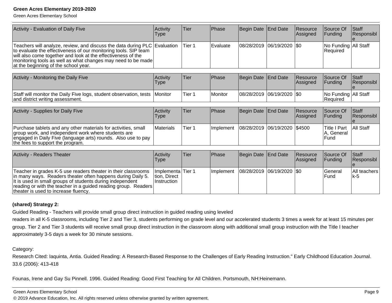Green Acres Elementary School

| Activity - Evaluation of Daily Five                                                                                                                                                                                                                                                                                  | Activity<br>Type | Tier   | Phase     | Begin Date          | <b>End Date</b>    | Resource<br>Assigned  | Source Of<br><b>Funding</b>               | Staff<br>Responsibl       |
|----------------------------------------------------------------------------------------------------------------------------------------------------------------------------------------------------------------------------------------------------------------------------------------------------------------------|------------------|--------|-----------|---------------------|--------------------|-----------------------|-------------------------------------------|---------------------------|
| Teachers will analyze, review, and discuss the data during PLC Evaluation<br>to evaluate the effectiveness of our monitoring tools. SIP team<br>will also come together and look at the effectiveness of the<br>monitoring tools as well as what changes may need to be made<br>at the beginning of the school year. |                  | Tier 1 | Evaluate  | 08/28/2019          | $ 06/19/2020 $ \$0 |                       | No Funding   All Staff<br>Required        |                           |
| Activity - Monitoring the Daily Five                                                                                                                                                                                                                                                                                 | Activity<br>Type | Tier   | Phase     | Begin Date End Date |                    | Resource<br>Assigned  | Source Of<br>Funding                      | Staff<br>Responsibl       |
| Staff will monitor the Daily Five logs, student observation, tests<br>and district writing assessment.                                                                                                                                                                                                               | Monitor          | Tier 1 | l Monitor | 08/28/2019          | $ 06/19/2020 $ \$0 |                       | No Funding   All Staff<br>Required        |                           |
| Activity - Supplies for Daily Five                                                                                                                                                                                                                                                                                   | Activity<br>Type | Tier   | Phase     | Begin Date End Date |                    | Resource<br>Assigned  | Source Of<br><b>Funding</b>               | Staff<br>Responsibl<br>ıе |
| Purchase tablets and any other materials for activities, small<br>group work, and independent work where students are<br>engaged in Daily Five (language arts) rounds. Also use to pay<br>the fees to support the program.                                                                                           | Materials        | Tier 1 | Implement | 08/28/2019          | 06/19/2020 \$4500  |                       | <b>Title I Part</b><br>A, General<br>Fund | All Staff                 |
| <b>Activity - Readers Theater</b>                                                                                                                                                                                                                                                                                    | Activity<br>Type | Tier   | Phase     | Begin Date          | <b>End Date</b>    | Resource<br> Assigned | Source Of<br>Funding                      | Staff<br>Responsibl       |

| Teacher in grades K-5 use readers theater in their classrooms   Implementa Tier 1<br>in many ways. Readers theater often happens during Daily 5.<br>It is used in small groups of students during independent<br>reading or with the teacher in a guided reading group. Readers<br>theater is used to increase fluency. | Ition. Direct<br>∣Instruction |  | Implement   08/28/2019   06/19/2020   \$0 |  | lGeneral<br>lFund | IAII teachers<br>lk-5 |
|-------------------------------------------------------------------------------------------------------------------------------------------------------------------------------------------------------------------------------------------------------------------------------------------------------------------------|-------------------------------|--|-------------------------------------------|--|-------------------|-----------------------|

#### **(shared) Strategy 2:**

Guided Reading - Teachers will provide small group direct instruction in guided reading using leveled

 readers in all K-5 classrooms, including Tier 2 and Tier 3, students performing on grade level and our accelerated students 3 times a week for at least 15 minutes pergroup. Tier 2 and Tier 3 students will receive small group direct instruction in the classroom along with additional small group instruction with the Title I teacherapproximately 3-5 days a week for 30 minute sessions.

#### Category:

Research Cited: Iaquinta, Antia. Guided Reading: A Research-Based Response to the Challenges of Early Reading Instruction." Early Childhood Education Journal.33.6 (2006): 413-418

Founas, Irene and Gay Su Pinnell. 1996. Guided Reading: Good First Teaching for All Children. Portsmouth, NH:Heinemann.

#### Green Acres Elementary School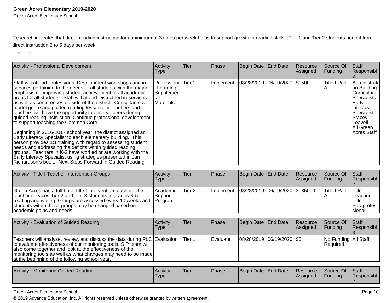Research indicates that direct reading instruction for a minimum of 3 times per week helps to support growth in reading skills. Tier 1 and Tier 2 students benefit fromdirect instruction 3 to 5 days per week.

Tier: Tier 1

| <b>Activity - Professional Development</b>                                                                                                                                                                                                                                                                                                                                                                                                                                                                                                                                                                                                                                                                                                                                                                                                                                                                                                                                                                                      | Activity<br><b>Type</b>                                                          | lTier. | <b>Phase</b>                                 | Begin Date End Date | Resource<br> Assigned | Source Of<br> Funding | Staff<br>Responsibl                                                                                                                              |
|---------------------------------------------------------------------------------------------------------------------------------------------------------------------------------------------------------------------------------------------------------------------------------------------------------------------------------------------------------------------------------------------------------------------------------------------------------------------------------------------------------------------------------------------------------------------------------------------------------------------------------------------------------------------------------------------------------------------------------------------------------------------------------------------------------------------------------------------------------------------------------------------------------------------------------------------------------------------------------------------------------------------------------|----------------------------------------------------------------------------------|--------|----------------------------------------------|---------------------|-----------------------|-----------------------|--------------------------------------------------------------------------------------------------------------------------------------------------|
| Staff will attend Professional Development workshops and in-<br>services pertaining to the needs of all students with the major<br>emphasis on improving student achievement in all academic<br>areas for all students. Staff will attend District-led in-services<br>as well as conferences outside of the district. Consultants will<br>model genre and guided reading lessons for teachers and<br>teachers will have the opportunity to observe peers during<br>quided reading instruction. Continue professional development<br>to support teaching the Common Core.<br>Beginning in 2016-2017 school year, the district assigned an<br>Early Literacy Specialist to each elementary building. This<br>person provides 1:1 training with regard to assessing student<br>needs and addressing the deficits within guided reading<br>groups. Teachers in K-3 have worked or are working with the<br>Early Literacy Specialist using strategies presented in Jan<br>Richardson's book, "Next Steps Forward in Guided Reading". | <b>Professiona</b> Tier 1<br>I Learning,<br>Supplemen<br>tal<br><b>Materials</b> |        | Implement   08/28/2019   06/19/2020   \$1500 |                     |                       | <b>Title I Part</b>   | Administrati<br>on Building<br>Curriculum<br> Specialists<br>Early<br> Literacy<br>Specialist<br>Stacey<br>lLeavell<br>All Green<br>lAcres Staff |

| Activity - Title I Teacher Intervention Groups                                                                                                                                                                                                                                         | Activity<br>Type      | lTier. | <b>Phase</b> | Begin Date End Date                            | <b>Resource</b><br><b>Assigned</b> | Source Of<br><b>IFundina</b> | <b>Staff</b><br>Responsibl                                                   |
|----------------------------------------------------------------------------------------------------------------------------------------------------------------------------------------------------------------------------------------------------------------------------------------|-----------------------|--------|--------------|------------------------------------------------|------------------------------------|------------------------------|------------------------------------------------------------------------------|
| Green Acres has a full-time Title I Intervention teacher. The<br>teacher services Tier 2 and Tier 3 students in grades K-5<br>reading and writing. Groups are assessed every 10 weeks and Program<br>students within these groups may be changed based on<br>academic gains and needs. | l Academic<br>Support | Tier 2 |              | Implement   08/28/2019   06/19/2020   \$135000 |                                    | Title I Part                 | lTitle I<br>Teacher<br><sup>1</sup> Title I<br><b>IParaprofes</b><br>Isional |

| Activity - Evaluation of Guided Reading                                                                                                                                                                                                                                                                                      | Activitv<br><b>Type</b> | lTier:  | <b>IPhase</b> | Begin Date End Date           | Resource<br><b>Assigned</b> | Source Of<br><b>IFunding</b>              | <b>Staff</b><br>Responsibl |
|------------------------------------------------------------------------------------------------------------------------------------------------------------------------------------------------------------------------------------------------------------------------------------------------------------------------------|-------------------------|---------|---------------|-------------------------------|-----------------------------|-------------------------------------------|----------------------------|
| Teachers will analyze, review, and discuss the data during PLC Evaluation<br>to evaluate effectiveness of our monitoring tools. SIP team will<br>also come together and look at the effectiveness of the<br>  monitoring tools as well as what changes may need to be made<br>at the beginning of the following school year. |                         | ITier 1 | l Evaluate    | $ 08/28/2019 06/19/2020 $ \$0 |                             | No Funding   All Staff<br><b>Required</b> |                            |

| Activity<br>- Monitoring Guided Reading | <b>Activity</b><br>Type | 'Tier | Phase | Begin Date   End Date |  | <b>IResource</b><br> Assigned | Source Of<br>Fundina | <b>Staff</b><br>. .<br>Responsibl |
|-----------------------------------------|-------------------------|-------|-------|-----------------------|--|-------------------------------|----------------------|-----------------------------------|
|-----------------------------------------|-------------------------|-------|-------|-----------------------|--|-------------------------------|----------------------|-----------------------------------|

Green Acres Elementary School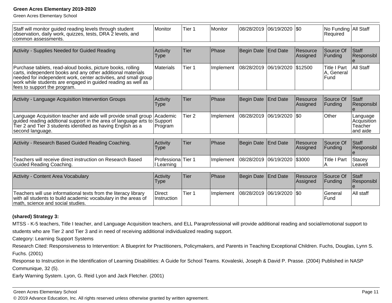Green Acres Elementary School

| Staff will monitor guided reading levels through student<br>observation, daily work, quizzes, tests, DRA 2 levels, and<br>common assessments.                                                                                                                                                | <b>Monitor</b>                   | Tier 1            | Monitor   | 08/28/2019 | 06/19/2020      | $ $ \$0              | No Funding All Staff<br>Required          |                                                |
|----------------------------------------------------------------------------------------------------------------------------------------------------------------------------------------------------------------------------------------------------------------------------------------------|----------------------------------|-------------------|-----------|------------|-----------------|----------------------|-------------------------------------------|------------------------------------------------|
| Activity - Supplies Needed for Guided Reading                                                                                                                                                                                                                                                | Activity<br><b>Type</b>          | <b>Tier</b>       | Phase     | Begin Date | <b>End Date</b> | Resource<br>Assigned | Source Of<br>Funding                      | Staff<br>Responsibl                            |
| Purchase tablets, read-aloud books, picture books, rolling<br>carts, independent books and any other additional materials<br>needed for independent work, center activities, and small group<br>work while students are engaged in guided reading as well as<br>fees to support the program. | Materials                        | Tier 1            | Implement | 08/28/2019 | 06/19/2020      | \$12500              | <b>Title I Part</b><br>A, General<br>Fund | <b>All Staff</b>                               |
| Activity - Language Acquisition Intervention Groups                                                                                                                                                                                                                                          | Activity<br><b>Type</b>          | Tier              | Phase     | Begin Date | <b>End Date</b> | Resource<br>Assigned | Source Of<br>Funding                      | Staff<br>Responsibl                            |
| Language Acquisition teacher and aide will provide small group<br>guided reading addtional support in the area of language arts to Support<br>Tier 2 and Tier 3 students identified as having English as a<br>second language.                                                               | Academic<br>Program              | Tier <sub>2</sub> | Implement | 08/28/2019 | 06/19/2020      | l\$0                 | Other                                     | Language<br>Acquisition<br>Teacher<br>and aide |
| Activity - Research Based Guided Reading Coaching.                                                                                                                                                                                                                                           | Activity<br><b>Type</b>          | <b>Tier</b>       | Phase     | Begin Date | <b>End Date</b> | Resource<br>Assigned | Source Of<br>Funding                      | Staff<br>Responsibl                            |
| Teachers will receive direct instruction on Research Based<br><b>Guided Reading Coaching.</b>                                                                                                                                                                                                | Professiona Tier 1<br>I Learning |                   | Implement | 08/28/2019 | 06/19/2020      | \$3000               | <b>Title I Part</b><br>A                  | Stacey<br>Leavell                              |
| Activity - Content Area Vocabulary                                                                                                                                                                                                                                                           | Activity<br><b>Type</b>          | Tier              | Phase     | Begin Date | <b>End Date</b> | Resource<br>Assigned | Source Of<br>Funding                      | Staff<br>Responsibl                            |
| Teachers will use informational texts from the literacy library<br>with all students to build academic vocabulary in the areas of<br>math, science and social studies.                                                                                                                       | <b>Direct</b><br>Instruction     | Tier <sub>1</sub> | Implement | 08/28/2019 | 06/19/2020      | \$0                  | lGeneral<br>Fund                          | All staff                                      |

#### **(shared) Strategy 3:**

MTSS - K-5 teachers, Title I teacher, and Language Acquisition teachers, and ELL Paraprofessional will provide additional reading and social/emotional support tostudents who are Tier 2 and Tier 3 and in need of receiving additional individualized reading support.

Category: Learning Support Systems

 Research Cited: Responsiveness to Intervention: A Blueprint for Practitioners, Policymakers, and Parents in Teaching Exceptional Children. Fuchs, Douglas, Lynn S.Fuchs. (2001)

Response to Instruction in the Identification of Learning Disabilities: A Guide for School Teams. Kovaleski, Joseph & David P. Prasse. (2004) Published in NASPCommunique, 32 (5).

Early Warning System. Lyon, G. Reid Lyon and Jack Fletcher. (2001)

#### Green Acres Elementary School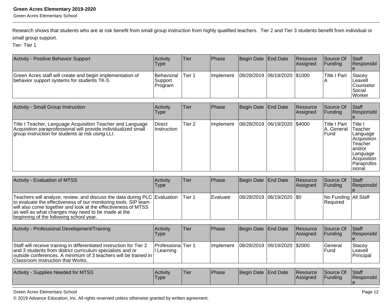Research shows that students who are at risk benefit from small group instruction from highly qualified teachers. Tier 2 and Tier 3 students benefit from individual orsmall group support.

Tier: Tier 1

| Activity - Positive Behavior Support                                                                     | Activity<br><b>Type</b>                 | lTier. | <b>IPhase</b> | Begin Date End Date          | <b>Resource</b><br>Assigned | <b>Source Of</b><br><b>Funding</b> | <b>Staff</b><br>Responsibl                                 |
|----------------------------------------------------------------------------------------------------------|-----------------------------------------|--------|---------------|------------------------------|-----------------------------|------------------------------------|------------------------------------------------------------|
| Green Acres staff will create and begin implementation of<br>behavior support systems for students TK-5. | <b>Behavioral</b><br>Support<br>Program | Tier 1 | Ilmplement    | 08/28/2019 06/19/2020 \$1000 |                             | Title I Part                       | Stacey<br>Leavell<br>lCounselor<br>Social<br><b>Worker</b> |

| Activity - Small Group Instruction                                                                                                                                                | Activity<br><b>Type</b>      | Tier   | <b>Phase</b> | Begin Date   End Date        | <b>Resource</b><br>Assigned | Source Of<br><b>Funding</b>                       | <b>Staff</b><br> Responsibl                                                                                                  |
|-----------------------------------------------------------------------------------------------------------------------------------------------------------------------------------|------------------------------|--------|--------------|------------------------------|-----------------------------|---------------------------------------------------|------------------------------------------------------------------------------------------------------------------------------|
| Title I Teacher, Language Acquisition Teacher and Language<br>Acquisition paraprofessional will provide individualized small<br>group instruction for students at risk using LLI. | Direct<br><b>Instruction</b> | Tier 2 | Implement    | 08/28/2019 06/19/2020 \$4000 |                             | <b>Title I Part</b><br>IA, General<br><b>Fund</b> | Title I<br>Teacher<br> Language<br> Acquisition <br>Teacher<br>land/or<br> Language<br> Acquisition<br>lParaprofes<br>sional |

| <b>Activity - Evaluation of MTSS</b>                                                                                                                                                                                                                                                                           | Activity<br><b>Type</b> | Tier   | <b>IPhase</b> | Begin Date End Date         | <b>Resource</b><br><b>Assigned</b> | Source Of<br><b>IFunding</b>            | <b>Staff</b><br>Responsibl |
|----------------------------------------------------------------------------------------------------------------------------------------------------------------------------------------------------------------------------------------------------------------------------------------------------------------|-------------------------|--------|---------------|-----------------------------|------------------------------------|-----------------------------------------|----------------------------|
| Teachers will analyze, review, and discuss the data during PLC Evaluation<br>to evaluate the effectiveness of our monitoring tools. SIP team<br>will also come together and look at the effectiveness of MTSS<br>as well as what changes may need to be made at the<br>beginning of the following school year. |                         | Tier 1 | l Evaluate    | 08/28/2019  06/19/2020  \$0 |                                    | No Funding All Staff<br><b>Required</b> |                            |

| Activity - Professional Development/Training                                                                                                                                                                                                 | <b>Activity</b><br>Type               | Tier | Phase      | Begin Date End Date            | <b>Resource</b><br><b>Assigned</b> | Source Of<br><b>IFundina</b> | <b>Staff</b><br><b>Responsibl</b>     |
|----------------------------------------------------------------------------------------------------------------------------------------------------------------------------------------------------------------------------------------------|---------------------------------------|------|------------|--------------------------------|------------------------------------|------------------------------|---------------------------------------|
| Staff will receive training in differentiated instruction for Tier 2<br>and 3 students from district curriculum specialists and or<br>outside conferences. A minimum of 3 teachers will be trained in  <br>Classroom Instruction that Works. | <b>ProfessionalTier 1</b><br>Learning |      | Ilmplement | 08/28/2019  06/19/2020  \$2000 |                                    | <b>Seneral</b><br>lFund      | <b>Stacev</b><br>Leavell<br>Principal |

| Supplies Needed for MTSS<br><b>Activity</b> | Activity<br>'Type | 'Tier | <b>Phase</b> | Begin Date End Date |  | Resource<br><b>Assigned</b> | Source Of<br><b>Funding</b> | <b>Staff</b><br>Responsibl |
|---------------------------------------------|-------------------|-------|--------------|---------------------|--|-----------------------------|-----------------------------|----------------------------|
|---------------------------------------------|-------------------|-------|--------------|---------------------|--|-----------------------------|-----------------------------|----------------------------|

Green Acres Elementary School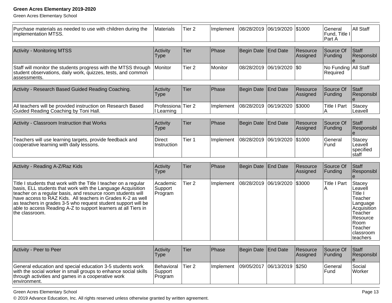Green Acres Elementary School

| Purchase materials as needed to use with children during the<br>implementation MTSS.                                                                                                                                                                                                                                                                                                                            | Materials                        | Tier <sub>2</sub> | Implement | 08/28/2019        | 06/19/2020 \$1000 |                      | General<br>Fund, Title I<br>Part A | <b>All Staff</b>                                                                                                                             |
|-----------------------------------------------------------------------------------------------------------------------------------------------------------------------------------------------------------------------------------------------------------------------------------------------------------------------------------------------------------------------------------------------------------------|----------------------------------|-------------------|-----------|-------------------|-------------------|----------------------|------------------------------------|----------------------------------------------------------------------------------------------------------------------------------------------|
| <b>Activity - Monitoring MTSS</b>                                                                                                                                                                                                                                                                                                                                                                               | Activity<br><b>Type</b>          | Tier              | Phase     | Begin Date        | <b>End Date</b>   | Resource<br>Assigned | Source Of<br>Funding               | Staff<br>Responsibl                                                                                                                          |
| Staff will monitor the students progress with the MTSS through<br>student observations, daily work, quizzes, tests, and common<br>assessments.                                                                                                                                                                                                                                                                  | Monitor                          | Tier <sub>2</sub> | Monitor   | 08/28/2019        | 06/19/2020        | $ $ \$0              | No Funding All Staff<br>Required   |                                                                                                                                              |
| Activity - Research Based Guided Reading Coaching.                                                                                                                                                                                                                                                                                                                                                              | Activity<br><b>Type</b>          | <b>Tier</b>       | Phase     | <b>Begin Date</b> | <b>End Date</b>   | Resource<br>Assigned | Source Of<br>Funding               | Staff<br>Responsibl                                                                                                                          |
| All teachers will be provided instruction on Research Based<br>Guided Reading Coaching by Toni Hall.                                                                                                                                                                                                                                                                                                            | Professiona Tier 2<br>I Learning |                   | Implement | 08/28/2019        | 06/19/2020 \$3000 |                      | <b>Title I Part</b><br>А           | <b>Stacey</b><br>Leavell                                                                                                                     |
| Activity - Classroom Instruction that Works                                                                                                                                                                                                                                                                                                                                                                     | Activity<br><b>Type</b>          | Tier              | Phase     | <b>Begin Date</b> | <b>End Date</b>   | Resource<br>Assigned | Source Of<br>Funding               | Staff<br>Responsibl                                                                                                                          |
| Teachers will use learning targets, provide feedback and<br>cooperative learning with daily lessons.                                                                                                                                                                                                                                                                                                            | <b>Direct</b><br>Instruction     | Tier <sub>1</sub> | Implement | 08/28/2019        | 06/19/2020        | \$1000               | General<br>Fund                    | <b>Stacey</b><br>Leavell<br>specified<br>staff                                                                                               |
| Activity - Reading A-Z/Raz Kids                                                                                                                                                                                                                                                                                                                                                                                 | Activity<br><b>Type</b>          | <b>Tier</b>       | Phase     | <b>Begin Date</b> | <b>End Date</b>   | Resource<br>Assigned | Source Of<br>Funding               | Staff<br>Responsibl                                                                                                                          |
| Title I students that work with the Title I teacher on a regular<br>basis, ELL students that work with the Language Acquisition<br>teacher on a regular basis, and resource room students will have access to RAZ Kids. All teachers in Grades K-2 as well<br>as teachers in grades 3-5 who request student support will be<br>able to access Reading A-Z to support learners at all Tiers in<br>the classroom. | Academic<br>Support<br>Program   | Tier <sub>2</sub> | Implement | 08/28/2019        | 06/19/2020        | \$3000               | <b>Title I Part</b>                | <b>Stacey</b><br>Leavell<br>Title I<br>Teacher<br>Language<br>Acquisition<br>Teacher<br>Resource<br>Room<br>Teacher<br>classroom<br>teachers |

| Activity - Peer to Peer                                                                                                                                                                             | <b>Activity</b><br>Type                 | 'Tier  | <b>Phase</b>      | Begin Date End Date           | <b>Resource</b><br><b>Assigned</b> | <b>Source Of</b><br>IFundina | <b>IStaff</b><br><b>Responsibl</b> |
|-----------------------------------------------------------------------------------------------------------------------------------------------------------------------------------------------------|-----------------------------------------|--------|-------------------|-------------------------------|------------------------------------|------------------------------|------------------------------------|
| General education and special education 3-5 students work<br>with the social worker in small groups to enhance social skills<br>through activities and games in a cooperative work<br>lenvironment. | Behavioral<br><b>Support</b><br>Program | Tier 2 | <b>Ilmplement</b> | 09/05/2017  06/13/2019  \$250 |                                    | lGeneral<br>l Fund           | Social<br><b>Worker</b>            |

Green Acres Elementary School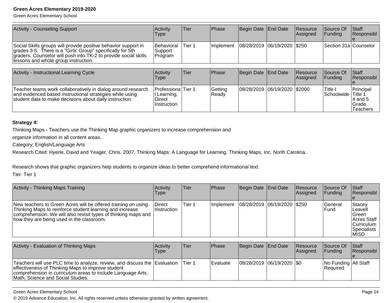Green Acres Elementary School

| Activity - Counseling Support                                                                                                                                                                                                            | Activity<br>Type                         | Tier   | <b>IPhase</b>     | Begin Date End Date           | <b>Resource</b><br>Assigned | <b>Source Of</b><br>IFundina | <b>Staff</b><br><b>IResponsibl</b> |
|------------------------------------------------------------------------------------------------------------------------------------------------------------------------------------------------------------------------------------------|------------------------------------------|--------|-------------------|-------------------------------|-----------------------------|------------------------------|------------------------------------|
| Social Skills groups will provide positive behavior support in<br>grades 3-5. There is a "Girls' Group" specifically for 5th<br>graders. Counselor will push into TK-2 to provide social skills<br>llessons and whole group instruction. | <b>Behavioral</b><br>Support<br>IProgram | Tier 1 | <b>Ilmplement</b> | 08/28/2019  06/19/2020  \$250 |                             | Section 31a Counselor        |                                    |

| Activity - Instructional Learning Cycle                                                                                                                                             | Activity<br>Type                                                                 | Tier | <b>Phase</b>     | Begin Date   End Date        | <b>Resource</b><br>Assigned | <b>Source Of</b><br>IFundina         | <b>Staff</b><br>Responsibl                               |
|-------------------------------------------------------------------------------------------------------------------------------------------------------------------------------------|----------------------------------------------------------------------------------|------|------------------|------------------------------|-----------------------------|--------------------------------------|----------------------------------------------------------|
| Teacher teams work collaboratively in dialog around research<br>and evidenced based instructional strategies while using<br>student data to make decisions about daily instruction. | <b>Professiona</b> Tier 1<br>II Learning,<br><b>Direct</b><br><b>Instruction</b> |      | Getting<br>Ready | 08/28/2019 06/19/2020 \$2000 |                             | <b>Title I</b><br>Schoolwide Title 1 | Principal<br>14 and 5<br><b>Grade</b><br><b>Teachers</b> |

#### **Strategy 4:**

Thinking Maps - Teachers use the Thinking Map graphic organizers to increase comprehension and

organize information in all content areas.

Category: English/Language Arts

Research Cited: Hyerle, David and Yeager, Chris. 2007. Thinking Maps: A Language for Learning. Thinking Maps, Inc. North Carolina.

Research shows that graphic organizers help students to organize ideas to better comprehend informational text.

Tier: Tier 1

| Activity - Thinking Maps Training                                                                                                                                                                                                        | Activity<br><b>Type</b> | Tier   | Phase             | Begin Date End Date           | Resource<br>Assigned | Source Of<br>IFundina          | <b>Staff</b><br>Responsibl                                                        |
|------------------------------------------------------------------------------------------------------------------------------------------------------------------------------------------------------------------------------------------|-------------------------|--------|-------------------|-------------------------------|----------------------|--------------------------------|-----------------------------------------------------------------------------------|
| New teachers to Green Acres will be offered training on using<br>Thinking Maps to reinforce student learning and increase<br>comprehension. We will also revisit types of thinking maps and<br>how they are being used in the classroom. | Direct<br>Instruction   | Tier 1 | <b>Ilmplement</b> | 08/28/2019  06/19/2020  \$250 |                      | <b>Seneral</b><br><b>IFund</b> | Stacey<br>Leavell<br>lGreen.<br>Acres Staff<br>Curriculum<br>Specialists<br> MISD |

| Activity - Evaluation of Thinking Maps                                                                                                                                                                                             | Activitv<br>Type | lTier:  | Phase      | Begin Date End Date         | Resource<br>Assigned | Source Of<br><b>IFundina</b>              | <b>Staff</b><br>Responsibl |
|------------------------------------------------------------------------------------------------------------------------------------------------------------------------------------------------------------------------------------|------------------|---------|------------|-----------------------------|----------------------|-------------------------------------------|----------------------------|
| Teachers will use PLC time to analyze, review, and discuss the Evaluation<br>effectiveness of Thinking Maps to improve student<br>comprehension in curriculum areas to include Language Arts,<br>Math, Science and Social Studies. |                  | lTier 1 | l Evaluate | 08/28/2019  06/19/2020  \$0 |                      | No Funding   All Staff<br><b>Required</b> |                            |

Green Acres Elementary School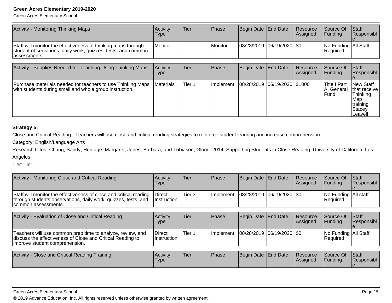Green Acres Elementary School

| Activity - Monitoring Thinking Maps                                                                                                            | <b>Activity</b><br>Type | Tier | <b>Phase</b> | Begin Date End Date |                             | Resource<br><b>Assigned</b> | Source Of<br><b>IFundina</b>              | <b>Staff</b><br>Responsibl |
|------------------------------------------------------------------------------------------------------------------------------------------------|-------------------------|------|--------------|---------------------|-----------------------------|-----------------------------|-------------------------------------------|----------------------------|
| Staff will monitor the effectiveness of thinking maps through<br>student observations, daily work, quizzes, tests, and common<br>lassessments. | l Monitor               |      | l Monitor    |                     | 08/28/2019  06/19/2020  \$0 |                             | No Funding   All Staff<br><b>Required</b> |                            |

| Activity - Supplies Needed for Teaching Using Thinking Maps                                                            | <b>Activity</b><br>Type | lTier  | Phase             | Begin Date End Date          | Resource<br>Assigned | Source Of<br><b>Funding</b>            | Staff<br>Responsibl                                                             |
|------------------------------------------------------------------------------------------------------------------------|-------------------------|--------|-------------------|------------------------------|----------------------|----------------------------------------|---------------------------------------------------------------------------------|
| Purchase materials needed for teachers to use Thinking Maps<br>with students during small and whole group instruction. | <b>IMaterials</b>       | Tier 1 | <b>Ilmplement</b> | 08/28/2019 06/19/2020 \$1000 |                      | lTitle I Part<br>IA, General<br>lFund. | New Staff<br>Ithat receive<br>Thinking<br>Map<br>training<br>IStacev<br>Leavell |

#### **Strategy 5:**

Close and Critical Reading - Teachers will use close and critical reading strategies to reinforce student learning and increase comprehension.

Category: English/Language Arts

 Research Cited: Chang, Sandy, Heritage, Margaret, Jones, Barbara, and Tobiason, Glory. 2014. Supporting Students in Close Reading. University of California, LosAngeles.

Tier: Tier 1

| Activity - Monitoring Close and Critical Reading                                                                                                            | Activity<br>Type             | Tier              | Phase     | Begin Date End Date       | <b>Resource</b><br>Assigned | Source Of<br> Funding                   | Staff<br>Responsibl        |
|-------------------------------------------------------------------------------------------------------------------------------------------------------------|------------------------------|-------------------|-----------|---------------------------|-----------------------------|-----------------------------------------|----------------------------|
| Staff will monitor the effectiveness of close and critical reading<br>through students observations, daily work, quizzes, tests, and<br>common assessments. | <b>Direct</b><br>Instruction | Tier <sub>3</sub> | Implement | 08/28/2019 06/19/2020 \$0 |                             | <b>No Funding All staff</b><br>Required |                            |
|                                                                                                                                                             |                              |                   |           |                           |                             |                                         |                            |
| Activity - Evaluation of Close and Critical Reading                                                                                                         | Activity<br>Type             | Tier              | Phase     | Begin Date   End Date     | <b>Resource</b><br>Assigned | Source Of<br><b>IFundina</b>            | <b>Staff</b><br>Responsibl |
|                                                                                                                                                             |                              |                   |           |                           |                             |                                         |                            |

| Activity - Close and Critical Reading Training | Activity<br>'Type | <b>Tier</b> | Phase | Begin Date End Date | <b>Resource</b><br><b>Assigned</b> | Source Of<br>Funding | Staff<br>Responsibl |
|------------------------------------------------|-------------------|-------------|-------|---------------------|------------------------------------|----------------------|---------------------|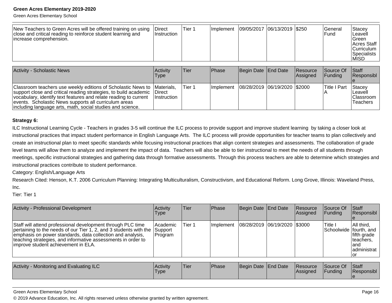Green Acres Elementary School

| New Teachers to Green Acres will be offered training on using<br>close and critical reading to reinforce student learning and<br>Increase comprehension. | <b>Direct</b><br>∣Instruction | Tier 1 | <b>Implement</b> | 09/05/2017  06/13/2019  \$250 |  |  | lGeneral<br>lFund | Stacey<br>Leavell<br><b>IGreen</b><br><b>Acres Staff</b><br>ICurriculum<br><b>Specialists</b><br>IMISD |
|----------------------------------------------------------------------------------------------------------------------------------------------------------|-------------------------------|--------|------------------|-------------------------------|--|--|-------------------|--------------------------------------------------------------------------------------------------------|
|----------------------------------------------------------------------------------------------------------------------------------------------------------|-------------------------------|--------|------------------|-------------------------------|--|--|-------------------|--------------------------------------------------------------------------------------------------------|

| <b>Activity - Scholastic News</b>                                                                                                                                                                                                                                                                                                       | Activity<br><b>Type</b>              | lTier:  | <b>IPhase</b>     | Begin Date End Date            | <b>Resource</b><br>Assigned | <b>Source Of</b><br><b>IFunding</b> | <b>Staff</b><br><b>Responsibl</b>                    |
|-----------------------------------------------------------------------------------------------------------------------------------------------------------------------------------------------------------------------------------------------------------------------------------------------------------------------------------------|--------------------------------------|---------|-------------------|--------------------------------|-----------------------------|-------------------------------------|------------------------------------------------------|
| Classroom teachers use weekly editions of Scholastic News to  Materials,<br>support close and critical reading strategies, to build academic<br>vocabulary, identify text features and relate reading to current<br>events. Scholastic News supports all curriculum areas<br>including language arts, math, social studies and science. | <b>IDirect</b><br><i>Instruction</i> | lTier 1 | <b>Ilmplement</b> | 08/28/2019  06/19/2020  \$2000 |                             | Title I Part                        | <b>Stacev</b><br>Leavell<br>IClassroom I<br>Teachers |

#### **Strategy 6:**

ILC Instructional Learning Cycle - Teachers in grades 3-5 will continue the ILC process to provide support and improve student learning by taking a closer look atinstructional practices that impact student performance in English Language Arts. The ILC process will provide opportunities for teacher teams to plan collectively and create an instructional plan to meet specific standards while focusing instructional practices that align content strategies and assessments. The collaboration of gradelevel teams will allow them to analyze and implement the impact of data. Teachers will also be able to tier instructional to meet the needs of all students through meetings, specific instructional strategies and gathering data through formative assessments. Through this process teachers are able to determine which strategies andinstructional practices contribute to student performance.

Category: English/Language Arts

 Research Cited: Henson, K.T. 2006 Curriculum Planning: Integrating Multiculturalism, Constructivism, and Educational Reform. Long Grove, Illinois: Waveland Press,Inc.

Tier: Tier 1

| Activity - Professional Development                                                                                                                                                                                                                                                                   | Activity<br><b>Type</b>         | <b>Tier</b> | Phase        | Begin Date End Date          | <b>Resource</b><br>Assigned | <b>Source Of</b><br> Funding      | <b>Staff</b><br>Responsibl                                     |
|-------------------------------------------------------------------------------------------------------------------------------------------------------------------------------------------------------------------------------------------------------------------------------------------------------|---------------------------------|-------------|--------------|------------------------------|-----------------------------|-----------------------------------|----------------------------------------------------------------|
| Staff will attend professional development through PLC time<br>pertaining to the needs of our Tier 1, 2, and 3 students with the<br>emphasis on power standards, data collection and analysis,<br>teaching strategies, and informative assessments in order to<br>improve student achievement in ELA. | Academic<br>Support<br> Program | Tier 1      | Implement    | 08/28/2019 06/19/2020 \$3000 |                             | Title I<br>Schoolwide fourth, and | All third,<br>fifth grade<br>lteachers.<br>land<br>administrat |
|                                                                                                                                                                                                                                                                                                       |                                 |             |              |                              |                             |                                   |                                                                |
| Activity - Monitoring and Evaluating ILC                                                                                                                                                                                                                                                              | Activity<br><b>Type</b>         | Tier        | <b>Phase</b> | Begin Date End Date          | Resource<br>Assigned        | Source Of<br> Funding             | Staff<br>Responsibl                                            |

Green Acres Elementary School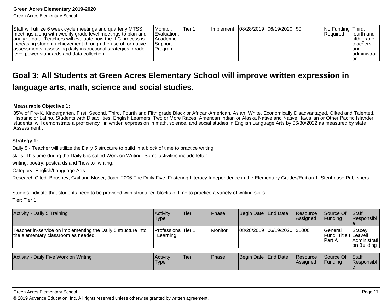Green Acres Elementary School

| Staff will utilize 6 week cycle meetings and quarterly MTSS<br>meetings along with weekly grade level meetings to plan and<br>analyze data. Teachers will evaluate how the ILC process is<br>increasing student achievement through the use of formative<br>assessments, assessing daily instructional strategies, grade<br>llevel power standards and data collection. | IMonitor.<br>Evaluation,<br>Academic<br> Support <br> Program | Tier 1 |  | Implement   08/28/2019   06/19/2020   \$0 |  |  | No Funding Third,<br>Required | Ifourth and<br>Ififth arade<br>Iteachers<br>land<br>ladministrat<br>ıor |
|-------------------------------------------------------------------------------------------------------------------------------------------------------------------------------------------------------------------------------------------------------------------------------------------------------------------------------------------------------------------------|---------------------------------------------------------------|--------|--|-------------------------------------------|--|--|-------------------------------|-------------------------------------------------------------------------|
|-------------------------------------------------------------------------------------------------------------------------------------------------------------------------------------------------------------------------------------------------------------------------------------------------------------------------------------------------------------------------|---------------------------------------------------------------|--------|--|-------------------------------------------|--|--|-------------------------------|-------------------------------------------------------------------------|

## **Goal 3: All Students at Green Acres Elementary School will improve written expression inlanguage arts, math, science and social studies.**

#### **Measurable Objective 1:**

85% of Pre-K, Kindergarten, First, Second, Third, Fourth and Fifth grade Black or African-American, Asian, White, Economically Disadvantaged, Gifted and Talented, Hispanic or Latino, Students with Disabilities, English Learners, Two or More Races, American Indian or Alaska Native and Native Hawaiian or Other Pacific Islanderstudents will demonstrate a proficiency in written expression in math, science, and social studies in English Language Arts by 06/30/2022 as measured by stateAssessment..

#### **Strategy 1:**

Daily 5 - Teacher will utilize the Daily 5 structure to build in a block of time to practice writing

skills. This time during the Daily 5 is called Work on Writing. Some activities include letter

writing, poetry, postcards and "how to" writing.

Category: English/Language Arts

Research Cited: Boushey, Gail and Moser, Joan. 2006 The Daily Five: Fostering Literacy Independence in the Elementary Grades/Edition 1. Stenhouse Publishers.

Studies indicate that students need to be provided with structured blocks of time to practice a variety of writing skills.

Tier: Tier 1

| Activity - Daily 5 Training                                                                          | Activity<br>Type                      | Tier | Phase   | Begin Date End Date            | <b>Resource</b><br><b>Assianed</b> | <b>Source Of</b><br><b>IFundina</b>          | $\vert$ Staff<br><b>Responsibl</b>              |
|------------------------------------------------------------------------------------------------------|---------------------------------------|------|---------|--------------------------------|------------------------------------|----------------------------------------------|-------------------------------------------------|
| Teacher in-service on implementing the Daily 5 structure into<br>the elementary classroom as needed. | <b>ProfessionalTier 1</b><br>Learning |      | Monitor | 08/28/2019  06/19/2020  \$1000 |                                    | lGeneral<br>Fund, Title I Leavell<br>lPart A | <b>Stacev</b><br> Administrati  <br>on Building |

| Activity - Daily Five Work on Writing | <b>Activity</b><br>Type | 'Tier | <b>Phase</b> | Begin Date End Date | <b>Resource</b><br><b>IAssigned</b> | Source Of<br>Funding | <b>Staff</b><br>Responsibl |
|---------------------------------------|-------------------------|-------|--------------|---------------------|-------------------------------------|----------------------|----------------------------|
|                                       |                         |       |              |                     |                                     |                      |                            |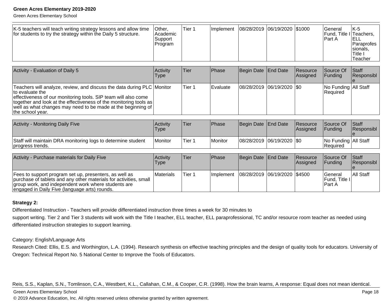Green Acres Elementary School

| K-5 teachers will teach writing strategy lessons and allow time<br>for students to try the strategy within the Daily 5 structure. | ∣Other.<br>l Academic<br>Support<br>Program | Tier 1 | <b>Ilmplement</b> | 08/28/2019  06/19/2020  \$1000 |  |  | lGeneral<br>Fund, Title I Teachers,<br>IPart A | $IK-5$<br>IELL<br>l Paraprofes<br>Isionals.<br>I Title<br>lTeacher |
|-----------------------------------------------------------------------------------------------------------------------------------|---------------------------------------------|--------|-------------------|--------------------------------|--|--|------------------------------------------------|--------------------------------------------------------------------|
|-----------------------------------------------------------------------------------------------------------------------------------|---------------------------------------------|--------|-------------------|--------------------------------|--|--|------------------------------------------------|--------------------------------------------------------------------|

| Activity - Evaluation of Daily 5                                                                                                                                                                                                                                                                                        | <b>Activity</b><br><b>Type</b> | lTier  | <b>Phase</b>    | Begin Date End Date |                               | Resource<br><b>Assigned</b> | Source Of<br><b>IFunding</b>         | <b>Staff</b><br>Responsibl |
|-------------------------------------------------------------------------------------------------------------------------------------------------------------------------------------------------------------------------------------------------------------------------------------------------------------------------|--------------------------------|--------|-----------------|---------------------|-------------------------------|-----------------------------|--------------------------------------|----------------------------|
| Teachers will analyze, review, and discuss the data during PLC Monitor<br>to evaluate the<br>effectiveness of our monitoring tools. SIP team will also come<br> together and look at the effectiveness of the monitoring tools as  <br>well as what changes may need to be made at the beginning of<br>the school year. |                                | Tier 1 | <b>Evaluate</b> |                     | $ 08/28/2019 06/19/2020 $ \$0 |                             | No Funding   All Staff<br>l Reauired |                            |

| Activity - Monitoring Daily Five                                                 | Activity<br>'Type | 'Tier  | <b>IPhase</b> | Begin Date End Date         | <b>Resource</b><br><b>Assigned</b> | Source Of<br><b>IFundina</b>         | <b>Staff</b><br><b>Responsibl</b> |
|----------------------------------------------------------------------------------|-------------------|--------|---------------|-----------------------------|------------------------------------|--------------------------------------|-----------------------------------|
| Staff will maintain DRA monitoring logs to determine student<br>progress trends. | Monitor           | Tier 1 | Monitor       | 08/28/2019  06/19/2020  \$0 |                                    | No Funding   All Staff<br>l Reauired |                                   |

| Activity - Purchase materials for Daily Five                                                                                                                                                                                        | Activity<br>Type | lTier. | <b>IPhase</b> | Begin Date End Date                          | Resource<br>Assigned | <b>Source Of</b><br><b>IFundina</b>           | <b>Staff</b><br>Responsibl |
|-------------------------------------------------------------------------------------------------------------------------------------------------------------------------------------------------------------------------------------|------------------|--------|---------------|----------------------------------------------|----------------------|-----------------------------------------------|----------------------------|
| Fees to support program set up, presenters, as well as<br>purchase of tablets and any other materials for activities, small<br>group work, and independent work where students are<br>engaged in Daily Five (language arts) rounds. | <b>Materials</b> | Tier 1 |               | Implement   08/28/2019   06/19/2020   \$4500 |                      | lGeneral<br><b>IFund. Title II</b><br>lPart A | <b>All Staff</b>           |

#### **Strategy 2:**

Differentiated Instruction - Teachers will provide differentiated instruction three times a week for 30 minutes tosupport writing. Tier 2 and Tier 3 students will work with the Title I teacher, ELL teacher, ELL paraprofessional, TC and/or resource room teacher as needed using differentiated instruction strategies to support learning.

Category: English/Language Arts

Research Cited: Ellis, E.S. and Worthington, L.A. (1994). Research synthesis on effective teaching principles and the design of quality tools for educators. University of Oregon: Technical Report No. 5 National Center to Improve the Tools of Educators.

Reis, S.S., Kaplan, S.N., Tomlinson, C.A., Westbert, K.L., Callahan, C.M., & Cooper, C.R. (1998). How the brain learns, A response: Equal does not mean identical.

#### Green Acres Elementary School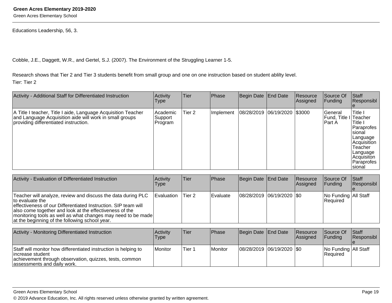Green Acres Elementary School

Educations Leadership, 56, 3.

Cobble, J.E., Daggett, W.R., and Gertel, S.J. (2007). The Environment of the Struggling Learner 1-5.

Research shows that Tier 2 and Tier 3 students benefit from small group and one on one instruction based on student ablilty level.Tier: Tier 2

| Activity - Additional Staff for Differentiated Instruction                                                                                                        | Activity<br><b>Type</b>         | Tier              | Phase     | Begin Date End Date          | Resource<br>Assigned | Source Of<br>Funding          | <b>Staff</b><br>Responsibl                                                                                                                                     |
|-------------------------------------------------------------------------------------------------------------------------------------------------------------------|---------------------------------|-------------------|-----------|------------------------------|----------------------|-------------------------------|----------------------------------------------------------------------------------------------------------------------------------------------------------------|
| A Title I teacher, Title I aide, Language Acquisition Teacher<br>and Language Acquisition aide will work in small groups<br>providing differentiated instruction. | Academic <br>Support<br>Program | Tier <sub>2</sub> | Implement | 08/28/2019 06/19/2020 \$3000 |                      | lGeneral<br>lFund.<br>lPart A | Title I<br>Title I Teacher<br>Title I<br>Paraprofes<br>Isional<br>Language<br>Acquisition<br>Teacher<br>Language<br>Acquisiton<br><b>Paraprofes</b><br>Isional |

| Activity - Evaluation of Differentiated Instruction                                                                                                                                                                                                                                                                            | <b>Activity</b><br>Type | lTier  | <b>IPhase</b>   | Begin Date End Date       | Resource<br><b>Assigned</b> | Source Of<br><b>Funding</b>        | <b>Staff</b><br>Responsibl |
|--------------------------------------------------------------------------------------------------------------------------------------------------------------------------------------------------------------------------------------------------------------------------------------------------------------------------------|-------------------------|--------|-----------------|---------------------------|-----------------------------|------------------------------------|----------------------------|
| Teacher will analyze, review and discuss the data during PLC<br>to evaluate the<br>effectiveness of our Differentiated Instruction. SIP team will<br>also come together and look at the effectiveness of the<br>monitoring tools as well as what changes may need to be made<br>at the beginning of the following school year. | <b>IEvaluation</b>      | Tier 2 | <b>Evaluate</b> | 08/28/2019 06/19/2020 \$0 |                             | No Funding   All Staff<br>Required |                            |

| <b>Activity - Monitoring Differentiated Instruction</b>                                                                                                                        | Activity<br><b>Type</b>       | Tier   | Phase   | Begin Date End Date           | Resource<br>Assigned | Source Of<br><b>IFunding</b>       | <b>Staff</b><br>Responsibl |
|--------------------------------------------------------------------------------------------------------------------------------------------------------------------------------|-------------------------------|--------|---------|-------------------------------|----------------------|------------------------------------|----------------------------|
| Staff will monitor how differentiated instruction is helping to<br>lincrease student<br>achievement through observation, quizzes, tests, common<br>assessments and daily work. | <i><u><b>I</b>Monitor</u></i> | Tier 1 | Monitor | $ 08/28/2019 06/19/2020 $ \$0 |                      | No Funding   All Staff<br>Required |                            |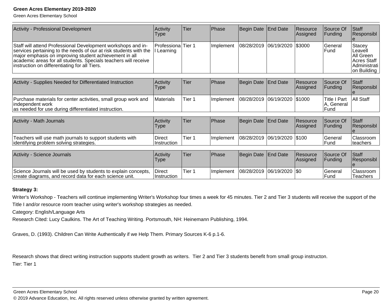Green Acres Elementary School

| Activity - Professional Development                                                                                                                                                                                                                                                                             | Activity<br>Type               | Tier   | Phase            | Begin Date End Date          | <b>Resource</b><br>Assigned | Source Of<br>Funding                                | <b>Staff</b><br>Responsibl                                                     |
|-----------------------------------------------------------------------------------------------------------------------------------------------------------------------------------------------------------------------------------------------------------------------------------------------------------------|--------------------------------|--------|------------------|------------------------------|-----------------------------|-----------------------------------------------------|--------------------------------------------------------------------------------|
| Staff will attend Professional Development workshops and in-<br>services pertaining to the needs of our at risk students with the<br>major emphasis on improving student achievement in all<br>academic areas for all students. Specials teachers will receive<br>instruction on differentiating for all Tiers. | Professiona Tier 1<br>Learning |        | Implement        | 08/28/2019 06/19/2020 \$3000 |                             | General<br>Fund                                     | Stacey<br>ILeavell<br>IAII Green<br>Acres Staff<br>Administrati<br>on Building |
| Activity - Supplies Needed for Differentiated Instruction                                                                                                                                                                                                                                                       | Activity<br>l ype              | Tier   | <b>Phase</b>     | Begin Date End Date          | <b>Resource</b><br>Assigned | Source Of<br>Funding                                | <b>Staff</b><br>Responsibl                                                     |
| Purchase materials for center activities, small group work and                                                                                                                                                                                                                                                  | Materials                      | Tier 1 | <b>Implement</b> | 08/28/2019 06/19/2020 \$1000 |                             | <b>Title I Part</b><br>$\Lambda$ $\Omega$ = = = = = | All Staff                                                                      |

| lindependent work<br>as needed for use during differentiated instruction. |                         |       |              |                     |                                            | General<br>$\cdots$<br>Func |                                   |
|---------------------------------------------------------------------------|-------------------------|-------|--------------|---------------------|--------------------------------------------|-----------------------------|-----------------------------------|
| <b>Activity - Math Journals</b>                                           | <b>Activity</b><br>Tyne | 'Tier | <b>Phase</b> | Begin Date End Date | <b>Resource</b><br><i><b>LAssigned</b></i> | Source Of<br><b>Eundina</b> | <b>Staff</b><br><b>Responsibl</b> |

|                                                                                                      | 'Type                         |       |            |                        | Assigned | <b>IFundina</b>  | <b>IResponsibl</b>     |
|------------------------------------------------------------------------------------------------------|-------------------------------|-------|------------|------------------------|----------|------------------|------------------------|
| 'Teachers will use math journals to support students with<br>identifying problem solving strategies. | <b>Direct</b><br>∣Instruction | Tier: | Ilmplement | 08/28/2019  06/19/2020 | 1\$100   | lGeneral<br>Fund | Classroom<br> teachers |

| Activity - Science Journals                                                                                               | Activity<br><b>Type</b>              | 'Tier  | <b>IPhase</b>     | Begin Date End Date         | <b>Resource</b><br><b>Assigned</b> | <b>Source Of</b><br><b>IFundina</b> | <b>Staff</b><br><b>Responsibl</b> |
|---------------------------------------------------------------------------------------------------------------------------|--------------------------------------|--------|-------------------|-----------------------------|------------------------------------|-------------------------------------|-----------------------------------|
| Science Journals will be used by students to explain concepts,<br>create diagrams, and record data for each science unit. | <b>IDirect</b><br><b>Instruction</b> | Tier 1 | <b>Ilmplement</b> | 08/28/2019  06/19/2020  \$0 |                                    | l General<br>Fund                   | <b>Classroom</b><br>Teachers      |

#### **Strategy 3:**

Writer's Workshop - Teachers will continue implementing Writer's Workshop four times a week for 45 minutes. Tier 2 and Tier 3 students will receive the support of theTitle I and/or resource room teacher using writer's workshop strategies as needed.

Category: English/Language Arts

Research Cited: Lucy Caulkins. The Art of Teaching Writing. Portsmouth, NH: Heinemann Publishing, 1994.

Graves, D. (1993). Children Can Write Authentically if we Help Them. Primary Sources K-6 p.1-6.

Research shows that direct writing instruction supports student growth as writers. Tier 2 and Tier 3 students benefit from small group instructon.Tier: Tier 1

Green Acres Elementary School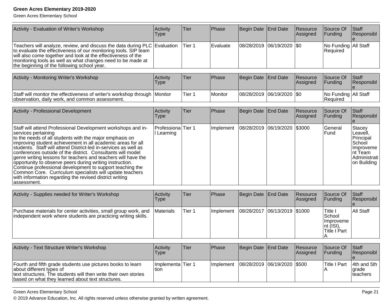Green Acres Elementary School

| Activity - Evaluation of Writer's Workshop                                                                                                                                                                                                                                                                                 | Activity<br>Type | Tier   | Phase        | Begin Date End Date         | Resource<br>Assigned | Source Of<br><b>Funding</b>        | <b>Staff</b><br>Responsibl |
|----------------------------------------------------------------------------------------------------------------------------------------------------------------------------------------------------------------------------------------------------------------------------------------------------------------------------|------------------|--------|--------------|-----------------------------|----------------------|------------------------------------|----------------------------|
| Teachers will analyze, review, and discuss the data during PLC Evaluation<br>to evaluate the effectiveness of our monitoring tools. SIP team<br>will also come together and look at the effectiveness of the<br>monitoring tools as well as what changes need to be made at<br>the beginning of the following school year. |                  | Tier 1 | Evaluate     | 08/28/2019 06/19/2020   \$0 |                      | No Funding All Staff<br>Required   |                            |
| Activity - Monitoring Writer's Workshop                                                                                                                                                                                                                                                                                    | Activity<br>Type | Tier   | <b>Phase</b> | Begin Date End Date         | Resource<br>Assigned | Source Of<br><b>IFundina</b>       | Staff<br>Responsibl        |
| Staff will monitor the effectiveness of writer's workshop through Monitor<br>observation, daily work, and common assessment.                                                                                                                                                                                               |                  | Tier 1 | Monitor      | 08/28/2019 06/19/2020 \$0   |                      | No Funding All Staff<br>l Reauired |                            |

| Activity - Professional Development                                                                                                                                                                                                                                                                                                                                                                                                                                                                                                                                                                                                                                              | Activity<br><b>Type</b>        | <b>Tier</b> | Phase     | Begin Date End Date            | Resource<br>Assigned | Source Of<br>Funding    | <b>Staff</b><br>Responsibl                                                                                |
|----------------------------------------------------------------------------------------------------------------------------------------------------------------------------------------------------------------------------------------------------------------------------------------------------------------------------------------------------------------------------------------------------------------------------------------------------------------------------------------------------------------------------------------------------------------------------------------------------------------------------------------------------------------------------------|--------------------------------|-------------|-----------|--------------------------------|----------------------|-------------------------|-----------------------------------------------------------------------------------------------------------|
| Staff will attend Professional Development workshops and in-<br>services pertaining<br>to the needs of all students with the major emphasis on<br>improving student achievement in all academic areas for all<br>students. Staff will attend District-led in-services as well as<br>conferences outside of the district. Consultants will model<br>genre writing lessons for teachers and teachers will have the<br>opportunity to observe peers during writing instruction.<br>Continue professional development to support teaching the<br>Common Core. Curriculum specialists will update teachers<br>with information regarding the revised district writing<br>lassessment. | Professiona Tier 1<br>Learning |             | Implement | 08/28/2019  06/19/2020  \$3000 |                      | General<br><b>IFund</b> | Stacey<br> Leavell,<br>Principal<br>School<br><b>Improveme</b><br>Int Team<br>Administrati<br>on Building |

| Activity - Supplies needed for Writer's Workshop                                                                                  | Activity<br>Type  | lTier. | Phase      | Begin Date   End Date          | Resource<br>Assigned | Source Of<br>IFundina                                                   | <b>Staff</b><br><b>Responsibl</b> |
|-----------------------------------------------------------------------------------------------------------------------------------|-------------------|--------|------------|--------------------------------|----------------------|-------------------------------------------------------------------------|-----------------------------------|
| Purchase materials for center activities, small group work, and<br>independent work where students are practicing writing skills. | <b>IMaterials</b> | Tier 1 | Ilmplement | 08/28/2017  06/13/2019  \$1000 |                      | <b>ITitle</b> I<br>ISchool<br>Improveme<br>$ nt$ (ISI),<br>Title I Part | All Staff                         |

| Activity - Text Structure Writer's Workshop                                                                                                                                                                     | <b>Activity</b><br>Type   | lTier | <b>Phase</b> | Begin Date End Date                         | Resource<br>Assigned | Source Of<br><b>Funding</b> | <b>Staff</b><br>Responsibl                  |
|-----------------------------------------------------------------------------------------------------------------------------------------------------------------------------------------------------------------|---------------------------|-------|--------------|---------------------------------------------|----------------------|-----------------------------|---------------------------------------------|
| Fourth and fifth grade students use pictures books to learn<br>about different types of<br>text structures. The students will then write their own stories<br>based on what they learned about text structures. | Implementa Tier 1<br>tion |       |              | Implement   08/28/2019   06/19/2020   \$500 |                      | ITitle I Part               | 14th and 5th<br><b>l</b> grade<br>Iteachers |

Green Acres Elementary School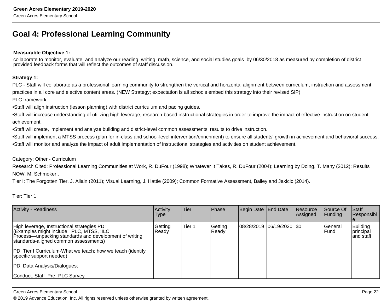## **Goal 4: Professional Learning Community**

#### **Measurable Objective 1:**

collaborate to monitor, evaluate, and analyze our reading, writing, math, science, and social studies goals by 06/30/2018 as measured by completion of districtprovided feedback forms that will reflect the outcomes of staff discussion.

#### **Strategy 1:**

PLC - Staff will collaborate as a professional learning community to strengthen the vertical and horizontal alignment between curriculum, instruction and assessment practices in all core and elective content areas. (NEW Strategy; expectation is all schools embed this strategy into their revised SIP)

#### PLC framework:

- Staff will align instruction (lesson planning) with district curriculum and pacing guides.
- Staff will increase understanding of utilizing high-leverage, research-based instructional strategies in order to improve the impact of effective instruction on student achievement.
- Staff will create, implement and analyze building and district-level common assessments' results to drive instruction.
- Staff will implement a MTSS process (plan for in-class and school-level intervention/enrichment) to ensure all students' growth in achievement and behavioral success.
- • Staff will monitor and analyze the impact of adult implementation of instructional strategies and activities on student achievement.

#### Category: Other - Curriculum

 Research Cited: Professional Learning Communities at Work, R. DuFour (1998); Whatever It Takes, R. DuFour (2004); Learning by Doing, T. Many (2012); ResultsNOW, M. Schmoker;.

Tier I: The Forgotten Tier, J. Allain (2011); Visual Learning, J. Hattie (2009); Common Formative Assessment, Bailey and Jakicic (2014).

Tier: Tier 1

| <b>Activity - Readiness</b>                                                                                                                                                                                                                                                                                           | Activity<br><b>Type</b> | Tier   | Phase            | Begin Date End Date |                           | Resource<br>Assigned | Source Of<br> Funding | <b>Staff</b><br>Responsibl                  |
|-----------------------------------------------------------------------------------------------------------------------------------------------------------------------------------------------------------------------------------------------------------------------------------------------------------------------|-------------------------|--------|------------------|---------------------|---------------------------|----------------------|-----------------------|---------------------------------------------|
| High leverage, Instructional strategies PD:<br>(Examples might include: PLC, MTSS, :ILC<br>Process-unpacking standards and development of writing<br>standards-aligned common assessments)<br>PD: Tier I Curriculum-What we teach; how we teach (identify<br>specific support needed)<br>PD: Data Analysis/Dialogues; | Getting<br>Ready        | Tier 1 | Getting<br>Ready |                     | 08/28/2019 06/19/2020 \$0 |                      | lGeneral<br>lFund     | Building<br><i>Iprincipal</i><br>land staff |
| Conduct: Staff Pre- PLC Survey                                                                                                                                                                                                                                                                                        |                         |        |                  |                     |                           |                      |                       |                                             |

#### Green Acres Elementary School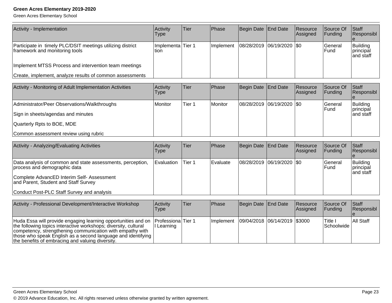| Activity - Implementation                                                                                                                                                                                                                                                                                         | Activity                  | Tier              | Phase     | <b>Begin Date</b> | <b>End Date</b> | Resource             | Source Of<br>Funding  | Staff<br>Responsibl                |
|-------------------------------------------------------------------------------------------------------------------------------------------------------------------------------------------------------------------------------------------------------------------------------------------------------------------|---------------------------|-------------------|-----------|-------------------|-----------------|----------------------|-----------------------|------------------------------------|
|                                                                                                                                                                                                                                                                                                                   | <b>Type</b>               |                   |           |                   |                 | Assigned             |                       |                                    |
| Participate in timely PLC/DSIT meetings utilizing district<br>framework and monitoring tools                                                                                                                                                                                                                      | Implementa Tier 1<br>tion |                   | Implement | 08/28/2019        | 06/19/2020      | \$0                  | General<br>Fund       | Building<br>principal<br>and staff |
| Implement MTSS Process and intervention team meetings                                                                                                                                                                                                                                                             |                           |                   |           |                   |                 |                      |                       |                                    |
| Create, implement, analyze results of common assessments                                                                                                                                                                                                                                                          |                           |                   |           |                   |                 |                      |                       |                                    |
| Activity - Monitoring of Adult Implementation Activities                                                                                                                                                                                                                                                          | Activity<br><b>Type</b>   | Tier              | Phase     | <b>Begin Date</b> | <b>End Date</b> | Resource<br>Assigned | Source Of<br>Funding  | Staff<br>Responsibl                |
| Administrator/Peer Observations/Walkthroughs                                                                                                                                                                                                                                                                      | Monitor                   | Tier <sub>1</sub> | Monitor   | 08/28/2019        | 06/19/2020      | \$0                  | General<br>Fund       | Building<br>principal              |
| Sign in sheets/agendas and minutes                                                                                                                                                                                                                                                                                |                           |                   |           |                   |                 |                      |                       | and staff                          |
| Quarterly Rpts to BOE, MDE                                                                                                                                                                                                                                                                                        |                           |                   |           |                   |                 |                      |                       |                                    |
| Common assessment review using rubric                                                                                                                                                                                                                                                                             |                           |                   |           |                   |                 |                      |                       |                                    |
| Activity - Analyzing/Evaluating Activities                                                                                                                                                                                                                                                                        | Activity<br><b>Type</b>   | Tier              | Phase     | <b>Begin Date</b> | <b>End Date</b> | Resource<br>Assigned | Source Of<br>Funding  | <b>S</b> taff<br>Responsibl        |
| Data analysis of common and state assessments, perception,<br>process and demographic data                                                                                                                                                                                                                        | Evaluation                | Tier 1            | Evaluate  | 08/28/2019        | 06/19/2020      | \$0                  | General<br>Fund       | Building<br>principal<br>and staff |
| Complete AdvancED Interim Self- Assessment<br>and Parent, Student and Staff Survey                                                                                                                                                                                                                                |                           |                   |           |                   |                 |                      |                       |                                    |
| Conduct Post-PLC Staff Survey and analysis                                                                                                                                                                                                                                                                        |                           |                   |           |                   |                 |                      |                       |                                    |
| Activity - Professional Development/Interactive Workshop                                                                                                                                                                                                                                                          | Activity<br><b>Type</b>   | Tier              | Phase     | <b>Begin Date</b> | <b>End Date</b> | Resource<br>Assigned | Source Of<br>Funding  | Staff<br>Responsibl                |
| Huda Essa will provide engaging learning opportunities and on<br>the following topics interactive workshops; diversity, cultural<br>competency, strengthening communication with empathy with<br>those who speak English as a second language and identifying<br>the benefits of embracing and valuing diversity. | Professiona<br>I Learning | Tier <sub>1</sub> | Implement | 09/04/2018        | 06/14/2019      | \$3000               | Title I<br>Schoolwide | All Staff                          |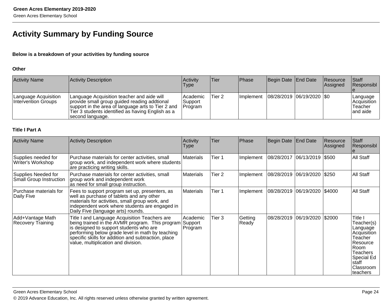## **Activity Summary by Funding Source**

#### **Below is a breakdown of your activities by funding source**

#### **Other**

| <b>Activity Name</b>                        | <b>Activity Description</b>                                                                                                                                                                                               | <b>Activity</b><br>Type           | 'Tier  | <b>Phase</b>      | Begin Date End Date         | <b>Resource</b><br><b>Assigned</b> | <b>Staff</b><br>Responsibl                     |
|---------------------------------------------|---------------------------------------------------------------------------------------------------------------------------------------------------------------------------------------------------------------------------|-----------------------------------|--------|-------------------|-----------------------------|------------------------------------|------------------------------------------------|
| Language Acquisition<br>Intervention Groups | Language Acquisition teacher and aide will<br>provide small group guided reading addtional<br>support in the area of language arts to Tier 2 and<br>Tier 3 students identified as having English as a<br>second language. | l Academic<br>Support<br> Program | Tier 2 | <b>Ilmplement</b> | 08/28/2019  06/19/2020  \$0 |                                    | Language<br>Acquisition<br>Teacher<br>and aide |

#### **Title I Part A**

| <b>Activity Name</b>                                  | <b>Activity Description</b>                                                                                                                                                                                                                                                                   | Activity<br>Type               | Tier   | Phase            | Begin Date | <b>End Date</b>              | Resource<br>Assigned | <b>Staff</b><br>Responsibl                                                                                                                         |
|-------------------------------------------------------|-----------------------------------------------------------------------------------------------------------------------------------------------------------------------------------------------------------------------------------------------------------------------------------------------|--------------------------------|--------|------------------|------------|------------------------------|----------------------|----------------------------------------------------------------------------------------------------------------------------------------------------|
| Supplies needed for<br>Writer's Workshop              | Purchase materials for center activities, small<br>group work, and independent work where students<br>are practicing writing skills.                                                                                                                                                          | Materials                      | Tier 1 | Implement        |            | 08/28/2017 06/13/2019 \$500  |                      | All Staff                                                                                                                                          |
| Supplies Needed for<br><b>Small Group Instruction</b> | Purchase materials for center activities, small<br>group work and independent work<br>as need for small group instruction.                                                                                                                                                                    | Materials                      | Tier 2 | Implement        |            | 08/28/2019 06/19/2020 \$250  |                      | All Staff                                                                                                                                          |
| Purchase materials for<br>Daily Five                  | Fees to support program set up, presenters, as<br>well as purchase of tablets and any other<br>materials for activities, small group work, and<br>independent work where students are engaged in<br>Daily Five (language arts) rounds.                                                        | <b>Materials</b>               | Tier 1 | Implement        |            | 08/28/2019 06/19/2020 \$4000 |                      | All Staff                                                                                                                                          |
| Add+Vantage Math<br><b>Recovery Training</b>          | Title I and Language Acquisition Teachers are<br>being trained in the AVMR program. This program<br>is designed to support students who are<br>performing below grade level in math by teaching<br>specific skills for addition and subtraction, place<br>value, multiplication and division. | Academic<br>Support<br>Program | Tier 3 | Getting<br>Ready | 08/28/2019 | 06/19/2020                   | \$2000               | Title I<br>Teacher(s)<br>Language<br>Acquisition<br>Teacher<br>Resource<br>Room<br><b>Teachers</b><br>Special Ed<br>staff<br>Classroom<br>teachers |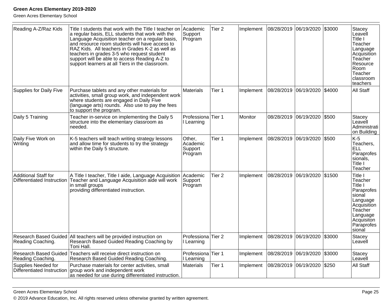Green Acres Elementary School

| Reading A-Z/Raz Kids                               | Title I students that work with the Title I teacher on<br>a regular basis, ELL students that work with the<br>Language Acquisition teacher on a regular basis,<br>and resource room students will have access to<br>RAZ Kids. All teachers in Grades K-2 as well as<br>teachers in grades 3-5 who request student<br>support will be able to access Reading A-Z to<br>support learners at all Tiers in the classroom. | lAcademic<br>Support<br>Program          | Tier <sub>2</sub> | Implement | 08/28/2019 06/19/2020  |            | \$3000 | Stacey<br>Leavell<br>Title I<br>Teacher<br>Language<br>Acquisition<br>Teacher<br>Resource<br>Room<br>Teacher<br>classroom<br>teachers         |
|----------------------------------------------------|-----------------------------------------------------------------------------------------------------------------------------------------------------------------------------------------------------------------------------------------------------------------------------------------------------------------------------------------------------------------------------------------------------------------------|------------------------------------------|-------------------|-----------|------------------------|------------|--------|-----------------------------------------------------------------------------------------------------------------------------------------------|
| <b>Supplies for Daily Five</b>                     | Purchase tablets and any other materials for<br>activities, small group work, and independent work<br>where students are engaged in Daily Five<br>(language arts) rounds. Also use to pay the fees<br>to support the program.                                                                                                                                                                                         | Materials                                | Tier 1            | Implement | 08/28/2019 06/19/2020  |            | \$4000 | <b>All Staff</b>                                                                                                                              |
| Daily 5 Training                                   | Teacher in-service on implementing the Daily 5<br>structure into the elementary classroom as<br>needed.                                                                                                                                                                                                                                                                                                               | Professiona<br>I Learning                | Tier 1            | Monitor   | 08/28/2019             | 06/19/2020 | \$500  | <b>Stacey</b><br>Leavell<br>Administrati<br>on Building                                                                                       |
| Daily Five Work on<br>Writing                      | K-5 teachers will teach writing strategy lessons<br>and allow time for students to try the strategy<br>within the Daily 5 structure.                                                                                                                                                                                                                                                                                  | Other,<br>Academic<br>Support<br>Program | Tier <sub>1</sub> | Implement | 08/28/2019 06/19/2020  |            | \$500  | $K-5$<br>Teachers,<br><b>ELL</b><br>Paraprofes<br>sionals,<br>Title I<br>Teacher                                                              |
| Additional Staff for<br>Differentiated Instruction | A Title I teacher, Title I aide, Language Acquisition<br>Teacher and Language Acquisition aide will work<br>in small groups<br>providing differentiated instruction.                                                                                                                                                                                                                                                  | Academic<br>Support<br>Program           | Tier <sub>2</sub> | Implement | 08/28/2019             | 06/19/2020 | \$1500 | Title I<br>Teacher<br>Title I<br>Paraprofes<br>sional<br>Language<br>Acquisition<br>Teacher<br>Language<br>Acquisiton<br>Paraprofes<br>sional |
| Reading Coaching.                                  | Research Based Guided All teachers will be provided instruction on<br>Research Based Guided Reading Coaching by<br>Toni Hall.                                                                                                                                                                                                                                                                                         | Professiona<br>Learning                  | Tier <sub>2</sub> | Implement | 08/28/2019             | 06/19/2020 | \$3000 | Stacey<br>Leavell                                                                                                                             |
| Reading Coaching.                                  | Research Based Guided   Teachers will receive direct instruction on<br>Research Based Guided Reading Coaching.                                                                                                                                                                                                                                                                                                        | Professiona<br>Learning                  | Tier 1            | Implement | 08/28/2019             | 06/19/2020 | \$3000 | Stacey<br>Leavell                                                                                                                             |
| Supplies Needed for<br>Differentiated Instruction  | Purchase materials for center activities, small<br>group work and independent work<br>as needed for use during differentiated instruction.                                                                                                                                                                                                                                                                            | Materials                                | Tier 1            | Implement | 08/28/2019  06/19/2020 |            | \$250  | <b>All Staff</b>                                                                                                                              |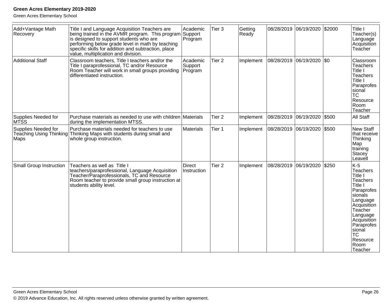| Add+Vantage Math<br>Recovery   | Title I and Language Acquisition Teachers are<br>being trained in the AVMR program. This program Support<br>is designed to support students who are<br>performing below grade level in math by teaching<br>specific skills for addition and subtraction, place<br>value, multiplication and division. | Academic<br>Program            | Tier <sub>3</sub> | Getting<br>Ready |            | 08/28/2019 06/19/2020 \$2000  |       | Title I<br>Teacher(s)<br>Language<br>Acquisition<br>Teacher                                                                                                                                                                      |
|--------------------------------|-------------------------------------------------------------------------------------------------------------------------------------------------------------------------------------------------------------------------------------------------------------------------------------------------------|--------------------------------|-------------------|------------------|------------|-------------------------------|-------|----------------------------------------------------------------------------------------------------------------------------------------------------------------------------------------------------------------------------------|
| Additional Staff               | Classroom teachers, Title I teachers and/or the<br>Title I paraprofessional, TC and/or Resource<br>Room Teacher will work in small groups providing<br>differentiated instruction.                                                                                                                    | Academic<br>Support<br>Program | Tier <sub>2</sub> | Implement        | 08/28/2019 | 06/19/2020 \$0                |       | Classroom<br><b>Teachers</b><br>Title I<br>Teachers<br>Title I<br>Paraprofes<br>siional<br><b>TC</b><br>Resource<br>Room<br>Teacher                                                                                              |
| Supplies Needed for<br>MTSS    | Purchase materials as needed to use with children Materials<br>during the implementation MTSS.                                                                                                                                                                                                        |                                | Tier <sub>2</sub> | Implement        | 08/28/2019 | 06/19/2020                    | \$500 | All Staff                                                                                                                                                                                                                        |
| Supplies Needed for<br>Maps    | Purchase materials needed for teachers to use<br>Teaching Using Thinking Thinking Maps with students during small and<br>whole group instruction.                                                                                                                                                     | <b>Materials</b>               | Tier 1            | Implement        |            | 08/28/2019  06/19/2020  \$500 |       | <b>New Staff</b><br>that receive<br>Thinking<br>Map<br>training<br>Stacey<br>Leavell                                                                                                                                             |
| <b>Small Group Instruction</b> | Teachers as well as Title I<br>teachers/paraprofessional, Language Acquisition<br>Teacher/Paraprofessionals, TC and Resource<br>Room teacher to provide small group instruction at<br>students ability level.                                                                                         | <b>Direct</b><br>Instruction   | Tier <sub>2</sub> | Implement        | 08/28/2019 | 06/19/2020                    | \$250 | $K-5$<br><b>Teachers</b><br>Title I<br><b>Teachers</b><br>Title I<br>Paraprofes<br>sionals<br>Language<br>Acquisition<br>Teacher<br>Language<br>Acquisition<br>Paraprofes<br>sional<br><b>TC</b><br>Resource<br>Room<br>lTeacher |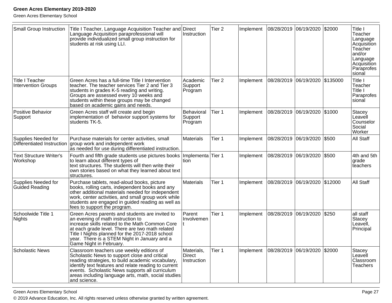| <b>Small Group Instruction</b>                    | Title I Teacher, Language Acquisition Teacher and<br>Language Acquisition paraprofessional will<br>provide individualized small group instruction for<br>students at risk using LLI.                                                                                                                                              | Direct<br>Instruction                      | Tier <sub>2</sub> | Implement | 08/28/2019 06/19/2020  | \$2000   | Title I<br>Teacher<br>Language<br>Acquisition<br>Teacher<br>and/or<br>Language<br>Acquisition<br>Paraprofes<br>sional |
|---------------------------------------------------|-----------------------------------------------------------------------------------------------------------------------------------------------------------------------------------------------------------------------------------------------------------------------------------------------------------------------------------|--------------------------------------------|-------------------|-----------|------------------------|----------|-----------------------------------------------------------------------------------------------------------------------|
| Title I Teacher<br>Intervention Groups            | Green Acres has a full-time Title I Intervention<br>teacher. The teacher services Tier 2 and Tier 3<br>students in grades K-5 reading and writing.<br>Groups are assessed every 10 weeks and<br>students within these groups may be changed<br>based on academic gains and needs.                                                 | l Academic<br>Support<br>Program           | Tier <sub>2</sub> | Implement | 08/28/2019  06/19/2020 | \$135000 | Title I<br>Teacher<br>Title I<br>Paraprofes<br>sional                                                                 |
| Positive Behavior<br>Support                      | Green Acres staff will create and begin<br>implementation of behavior support systems for<br>students TK-5.                                                                                                                                                                                                                       | Behavioral<br>Support<br>Program           | Tier 1            | Implement | 08/28/2019 06/19/2020  | \$1000   | Stacey<br>Leavell<br>Counselor<br>Social<br>Worker                                                                    |
| Supplies Needed for<br>Differentiated Instruction | Purchase materials for center activities, small<br>group work and independent work<br>as needed for use during differentiated instruction.                                                                                                                                                                                        | Materials                                  | Tier 1            | Implement | 08/28/2019 06/19/2020  | \$500    | All Staff                                                                                                             |
| <b>Text Structure Writer's</b><br>Workshop        | Fourth and fifth grade students use pictures books<br>to learn about different types of<br>text structures. The students will then write their<br>own stories based on what they learned about text<br>structures.                                                                                                                | Implementa<br>ltion                        | Tier 1            | Implement | 08/28/2019 06/19/2020  | \$500    | 4th and 5th<br>grade<br>teachers                                                                                      |
| Supplies Needed for<br>Guided Reading             | Purchase tablets, read-aloud books, picture<br>books, rolling carts, independent books and any<br>other additional materials needed for independent<br>work, center activities, and small group work while<br>students are engaged in guided reading as well as<br>fees to support the program.                                   | <b>Materials</b>                           | Tier 1            | Implement | 08/28/2019 06/19/2020  | \$12000  | All Staff                                                                                                             |
| Schoolwide Title 1<br>Nights                      | Green Acres parents and students are invited to<br>an evening of math instruction to<br>increase skills related to the Math Common Core<br>at each grade level. There are two math related<br>Title I Nights planned for the 2017-2018 school<br>year. There is a STEM Night in January and a<br>Game Night in February.          | Parent<br>Involvemen                       | Tier 1            | Implement | 08/28/2019 06/19/2020  | \$250    | all staff<br>Stacey<br>Leavell,<br>Principal                                                                          |
| Scholastic News                                   | Classroom teachers use weekly editions of<br>Scholastic News to support close and critical<br>reading strategies, to build academic vocabulary,<br>identify text features and relate reading to current<br>events. Scholastic News supports all curriculum<br>areas including language arts, math, social studies<br>and science. | Materials,<br><b>Direct</b><br>Instruction | Tier 1            | Implement | 08/28/2019 06/19/2020  | \$2000   | Stacey<br>Leavell<br>Classroom<br><b>Teachers</b>                                                                     |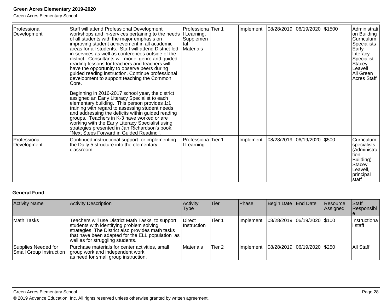Green Acres Elementary School

| Professional<br>Development   | Staff will attend Professional Development<br>workshops and in-services pertaining to the needs<br>of all students with the major emphasis on<br>improving student achievement in all academic<br>areas for all students. Staff will attend District-led<br>in-services as well as conferences outside of the<br>district. Consultants will model genre and guided<br>reading lessons for teachers and teachers will<br>have the opportunity to observe peers during<br>guided reading instruction. Continue professional<br>development to support teaching the Common<br>Core. | Professiona Tier 1<br>I Learning,<br>Supplemen<br>tal<br><b>Materials</b> | Implement | 08/28/2019  06/19/2020  \$1500 |       | Administrati<br>on Building<br>Curriculum<br>Specialists<br>Early<br>Literacy<br>Specialist<br>Stacey<br>Leavell<br>All Green<br><b>Acres Staff</b> |
|-------------------------------|----------------------------------------------------------------------------------------------------------------------------------------------------------------------------------------------------------------------------------------------------------------------------------------------------------------------------------------------------------------------------------------------------------------------------------------------------------------------------------------------------------------------------------------------------------------------------------|---------------------------------------------------------------------------|-----------|--------------------------------|-------|-----------------------------------------------------------------------------------------------------------------------------------------------------|
|                               | Beginning in 2016-2017 school year, the district<br>assigned an Early Literacy Specialist to each<br>elementary building. This person provides 1:1<br>training with regard to assessing student needs<br>and addressing the deficits within guided reading<br>groups. Teachers in K-3 have worked or are<br>working with the Early Literacy Specialist using<br>strategies presented in Jan Richardson's book,<br>"Next Steps Forward in Guided Reading".                                                                                                                        |                                                                           |           |                                |       |                                                                                                                                                     |
| l Professional<br>Development | Continued instructional support for implementing<br>the Daily 5 structure into the elementary<br>classroom.                                                                                                                                                                                                                                                                                                                                                                                                                                                                      | Professiona Tier 1<br>Learning                                            | Implement | 08/28/2019  06/19/2020         | \$500 | Curriculum<br>specialists<br>(Administra<br>tion<br>Building)<br>Stacey<br>Leavell,<br>principal<br>Istaff                                          |

#### **General Fund**

| <b>Activity Name</b>                                  | Activity Description                                                                                                                                                                                                                       | Activity<br><b>Type</b>       | <b>Tier</b> | Phase     | Begin Date End Date            | Resource<br>Assigned | Staff<br>Responsibl       |
|-------------------------------------------------------|--------------------------------------------------------------------------------------------------------------------------------------------------------------------------------------------------------------------------------------------|-------------------------------|-------------|-----------|--------------------------------|----------------------|---------------------------|
| Math Tasks                                            | Teachers will use District Math Tasks to support<br>students with identifying problem solving<br>strategies. The District also provides math tasks<br>that have been adapted for the ELL population as<br>well as for struggling students. | <b>Direct</b><br>⊺Instruction | Tier 1      | Implement | 08/28/2019 06/19/2020 \$100    |                      | IInstructiona<br>ll staff |
| Supplies Needed for<br><b>Small Group Instruction</b> | Purchase materials for center activities, small<br>group work and independent work<br>as need for small group instruction.                                                                                                                 | Materials                     | Tier 2      | Implement | 08/28/2019  06/19/2020   \$250 |                      | IAII Staff                |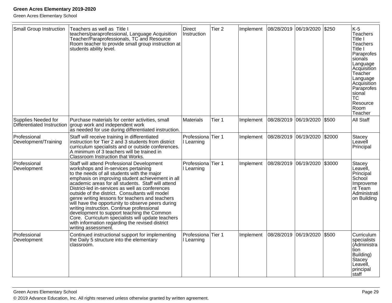| Small Group Instruction                           | Teachers as well as Title I<br>teachers/paraprofessional, Language Acquisition<br>Teacher/Paraprofessionals, TC and Resource<br>Room teacher to provide small group instruction at<br>students ability level.                                                                                                                                                                                                                                                                                                                                                                                                                                                                        | <b>Direct</b><br>Instruction     | Tier <sub>2</sub> | Implement | 08/28/2019 06/19/2020 |            | \$250  | $K-5$<br><b>Teachers</b><br>Title I<br><b>Teachers</b><br>Title I<br>Paraprofes<br>sionals<br>Language<br>Acquisition<br>Teacher<br>Language<br>Acquisition<br>Paraprofes<br>sional<br> TC<br>Resource<br>Room<br>Teacher |
|---------------------------------------------------|--------------------------------------------------------------------------------------------------------------------------------------------------------------------------------------------------------------------------------------------------------------------------------------------------------------------------------------------------------------------------------------------------------------------------------------------------------------------------------------------------------------------------------------------------------------------------------------------------------------------------------------------------------------------------------------|----------------------------------|-------------------|-----------|-----------------------|------------|--------|---------------------------------------------------------------------------------------------------------------------------------------------------------------------------------------------------------------------------|
| Supplies Needed for<br>Differentiated Instruction | Purchase materials for center activities, small<br>group work and independent work<br>as needed for use during differentiated instruction.                                                                                                                                                                                                                                                                                                                                                                                                                                                                                                                                           | <b>Materials</b>                 | Tier 1            | Implement | 08/28/2019            | 06/19/2020 | \$500  | All Staff                                                                                                                                                                                                                 |
| Professional<br>Development/Training              | Staff will receive training in differentiated<br>instruction for Tier 2 and 3 students from district<br>curriculum specialists and or outside conferences.<br>A minimum of 3 teachers will be trained in<br>Classroom Instruction that Works.                                                                                                                                                                                                                                                                                                                                                                                                                                        | Professiona Tier 1<br>Learning   |                   | Implement | 08/28/2019 06/19/2020 |            | \$2000 | Stacey<br>Leavell<br>Principal                                                                                                                                                                                            |
| Professional<br>Development                       | Staff will attend Professional Development<br>workshops and in-services pertaining<br>to the needs of all students with the major<br>emphasis on improving student achievement in all<br>academic areas for all students. Staff will attend<br>District-led in-services as well as conferences<br>outside of the district. Consultants will model<br>genre writing lessons for teachers and teachers<br>will have the opportunity to observe peers during<br>writing instruction. Continue professional<br>development to support teaching the Common<br>Core. Curriculum specialists will update teachers<br>with information regarding the revised district<br>writing assessment. | Professiona Tier 1<br>I Learning |                   | Implement | 08/28/2019            | 06/19/2020 | \$3000 | Stacey<br>Leavell,<br>Principal<br>School<br>Improveme<br>Int Team<br>Administrati<br>on Building                                                                                                                         |
| Professional<br>Development                       | Continued instructional support for implementing<br>the Daily 5 structure into the elementary<br>classroom.                                                                                                                                                                                                                                                                                                                                                                                                                                                                                                                                                                          | Professiona<br>I Learning        | Tier 1            | Implement | 08/28/2019            | 06/19/2020 | \$500  | Curriculum<br>specialists<br>(Administra<br>tion<br>Building)<br>Stacey<br>Leavell,<br>principal<br>staff                                                                                                                 |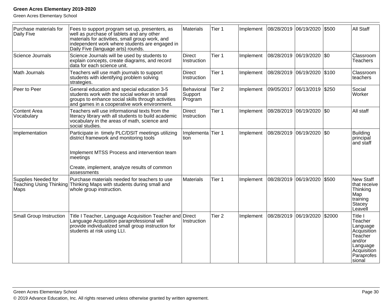| Purchase materials for<br>Daily Five | Fees to support program set up, presenters, as<br>well as purchase of tablets and any other<br>materials for activities, small group work, and<br>independent work where students are engaged in<br>Daily Five (language arts) rounds. | Materials                        | Tier 1            | Implement | 08/28/2019 06/19/2020 |                       | \$500  | All Staff                                                                                                              |
|--------------------------------------|----------------------------------------------------------------------------------------------------------------------------------------------------------------------------------------------------------------------------------------|----------------------------------|-------------------|-----------|-----------------------|-----------------------|--------|------------------------------------------------------------------------------------------------------------------------|
| Science Journals                     | Science Journals will be used by students to<br>explain concepts, create diagrams, and record<br>data for each science unit.                                                                                                           | <b>Direct</b><br>Instruction     | Tier 1            | Implement |                       | 08/28/2019 06/19/2020 | \$0    | Classroom<br><b>Teachers</b>                                                                                           |
| Math Journals                        | Teachers will use math journals to support<br>students with identifying problem solving<br>strategies.                                                                                                                                 | <b>Direct</b><br>Instruction     | Tier 1            | Implement |                       | 08/28/2019 06/19/2020 | \$100  | Classroom<br>lteachers                                                                                                 |
| Peer to Peer                         | General education and special education 3-5<br>students work with the social worker in small<br>groups to enhance social skills through activities<br>and games in a cooperative work environment.                                     | Behavioral<br>Support<br>Program | Tier <sub>2</sub> | Implement | 09/05/2017            | 06/13/2019            | \$250  | Social<br>Worker                                                                                                       |
| Content Area<br>Vocabulary           | Teachers will use informational texts from the<br>literacy library with all students to build academic<br>vocabulary in the areas of math, science and<br>social studies.                                                              | <b>Direct</b><br>Instruction     | Tier 1            | Implement |                       | 08/28/2019 06/19/2020 | \$0    | All staff                                                                                                              |
| Implementation                       | Participate in timely PLC/DSIT meetings utilizing<br>district framework and monitoring tools<br>Implement MTSS Process and intervention team<br>meetings<br>Create, implement, analyze results of common<br>assessments                | Implementa Tier 1<br>tion        |                   | Implement | 08/28/2019            | 06/19/2020            | \$0    | <b>Building</b><br>principal<br>and staff                                                                              |
| Supplies Needed for<br>Maps          | Purchase materials needed for teachers to use<br>Teaching Using Thinking Thinking Maps with students during small and<br>whole group instruction.                                                                                      | Materials                        | Tier 1            | Implement | 08/28/2019 06/19/2020 |                       | \$500  | <b>New Staff</b><br>that receive<br>Thinking<br>Map<br>training<br>Stacey<br>Leavell                                   |
| Small Group Instruction              | Title I Teacher, Language Acquisition Teacher and Direct<br>Language Acquisition paraprofessional will<br>provide individualized small group instruction for<br>students at risk using LLI.                                            | Instruction                      | Tier <sub>2</sub> | Implement | 08/28/2019            | 06/19/2020            | \$2000 | Title I<br>Teacher<br>Language<br>Acquisition<br>Teacher<br>and/or<br>Language<br>Acquisition<br>Paraprofes<br>Isional |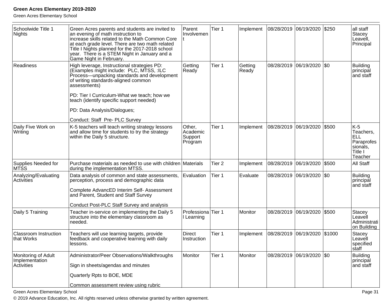Green Acres Elementary School

| Schoolwide Title 1<br>Nights                        | Green Acres parents and students are invited to<br>an evening of math instruction to<br>increase skills related to the Math Common Core<br>at each grade level. There are two math related<br>Title I Nights planned for the 2017-2018 school<br>year. There is a STEM Night in January and a<br>Game Night in February. | Parent<br>Involvemen                        | Tier 1            | Implement        | 08/28/2019 06/19/2020 |                             | \$250  | all staff<br>Stacey<br>Leavell,<br>Principal                              |
|-----------------------------------------------------|--------------------------------------------------------------------------------------------------------------------------------------------------------------------------------------------------------------------------------------------------------------------------------------------------------------------------|---------------------------------------------|-------------------|------------------|-----------------------|-----------------------------|--------|---------------------------------------------------------------------------|
| Readiness                                           | High leverage, Instructional strategies PD:<br>(Examples might include: PLC, MTSS, :ILC<br>Process-unpacking standards and development<br>of writing standards-aligned common<br>assessments)                                                                                                                            | Getting<br>Ready                            | Tier 1            | Getting<br>Ready |                       | 08/28/2019  06/19/2020  \$0 |        | <b>Building</b><br>principăl<br>and staff                                 |
|                                                     | PD: Tier I Curriculum-What we teach; how we<br>teach (identify specific support needed)                                                                                                                                                                                                                                  |                                             |                   |                  |                       |                             |        |                                                                           |
|                                                     | PD: Data Analysis/Dialogues;                                                                                                                                                                                                                                                                                             |                                             |                   |                  |                       |                             |        |                                                                           |
|                                                     | Conduct: Staff Pre- PLC Survey                                                                                                                                                                                                                                                                                           |                                             |                   |                  |                       |                             |        |                                                                           |
| Daily Five Work on<br>Writing                       | K-5 teachers will teach writing strategy lessons<br>and allow time for students to try the strategy<br>within the Daily 5 structure.                                                                                                                                                                                     | Other,<br>Academic<br>Support<br>Program    | Tier 1            | Implement        | 08/28/2019            | 06/19/2020                  | \$500  | $K-5$<br>Teachers,<br>ELL<br>Paraprofes<br>sionals,<br>Title I<br>Teacher |
| Supplies Needed for<br>MTSS                         | Purchase materials as needed to use with children Materials<br>during the implementation MTSS.                                                                                                                                                                                                                           |                                             | Tier <sub>2</sub> | Implement        | 08/28/2019 06/19/2020 |                             | \$500  | All Staff                                                                 |
| Analyzing/Evaluating<br>Activities                  | Data analysis of common and state assessments,<br>perception, process and demographic data<br>Complete AdvancED Interim Self- Assessment<br>and Parent, Student and Staff Survey                                                                                                                                         | Evaluation                                  | Tier 1            | Evaluate         |                       | 08/28/2019  06/19/2020  \$0 |        | <b>Building</b><br>principal<br>and staff                                 |
|                                                     | Conduct Post-PLC Staff Survey and analysis                                                                                                                                                                                                                                                                               |                                             |                   |                  |                       |                             |        |                                                                           |
| Daily 5 Training                                    | Teacher in-service on implementing the Daily 5<br>structure into the elementary classroom as<br>needed.                                                                                                                                                                                                                  | Professiona <sup>Tier</sup> 1<br>I Learning |                   | Monitor          |                       | 08/28/2019 06/19/2020       | \$500  | <b>Stacey</b><br>Leavell<br>Administrati<br>on Building                   |
| <b>Classroom Instruction</b><br>that Works          | Teachers will use learning targets, provide<br>feedback and cooperative learning with daily<br>lessons.                                                                                                                                                                                                                  | <b>Direct</b><br>Instruction                | Tier 1            | Implement        | 08/28/2019 06/19/2020 |                             | \$1000 | <b>Stacey</b><br>Leavell<br>specified<br>staff                            |
| Monitoring of Adult<br>Implementation<br>Activities | Administrator/Peer Observations/Walkthroughs<br>Sign in sheets/agendas and minutes                                                                                                                                                                                                                                       | Monitor                                     | Tier 1            | Monitor          |                       | 08/28/2019  06/19/2020  \$0 |        | <b>Building</b><br>principal<br>and staff                                 |
|                                                     | Quarterly Rpts to BOE, MDE                                                                                                                                                                                                                                                                                               |                                             |                   |                  |                       |                             |        |                                                                           |
|                                                     | Common assessment review using rubric                                                                                                                                                                                                                                                                                    |                                             |                   |                  |                       |                             |        |                                                                           |

Green Acres Elementary School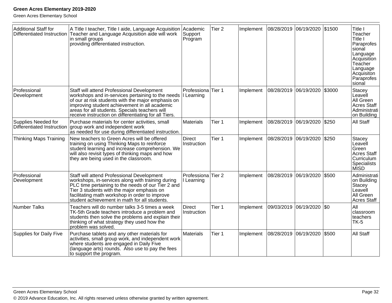| <b>Additional Staff for</b><br>Differentiated Instruction | A Title I teacher, Title I aide, Language Acquisition<br>Teacher and Language Acquisition aide will work<br>in small groups<br>providing differentiated instruction.                                                                                                                                              | Academic<br>Support<br>Program   | Tier <sub>2</sub> | Implement | 08/28/2019 06/19/2020 |                           | \$1500 | Title I<br>Teacher<br>Title I<br>Paraprofes<br>sional<br>Language<br>Acquisition<br>Teacher<br>Language<br>Acquisiton<br>Paraprofes<br>sional |
|-----------------------------------------------------------|-------------------------------------------------------------------------------------------------------------------------------------------------------------------------------------------------------------------------------------------------------------------------------------------------------------------|----------------------------------|-------------------|-----------|-----------------------|---------------------------|--------|-----------------------------------------------------------------------------------------------------------------------------------------------|
| Professional<br>Development                               | Staff will attend Professional Development<br>workshops and in-services pertaining to the needs<br>of our at risk students with the major emphasis on<br>improving student achievement in all academic<br>areas for all students. Specials teachers will<br>receive instruction on differentiating for all Tiers. | Professiona Tier 1<br>I Learning |                   | Implement |                       | 08/28/2019 06/19/2020     | \$3000 | Stacey<br>Leavell<br>All Green<br><b>Acres Staff</b><br>Administrati<br>on Building                                                           |
| Supplies Needed for<br>Differentiated Instruction         | Purchase materials for center activities, small<br>group work and independent work<br>as needed for use during differentiated instruction.                                                                                                                                                                        | Materials                        | Tier 1            | Implement | 08/28/2019 06/19/2020 |                           | \$250  | All Staff                                                                                                                                     |
| Thinking Maps Training                                    | New teachers to Green Acres will be offered<br>training on using Thinking Maps to reinforce<br>student learning and increase comprehension. We<br>will also revisit types of thinking maps and how<br>they are being used in the classroom.                                                                       | <b>Direct</b><br>Instruction     | Tier 1            | Implement |                       | 08/28/2019 06/19/2020     | \$250  | Stacey<br>Leavell<br>Green<br><b>Acres Staff</b><br>Curriculum<br><b>Specialists</b><br><b>MISD</b>                                           |
| Professional<br>Development                               | Staff will attend Professional Development<br>workshops, in-services along with training during<br>PLC time pertaining to the needs of our Tier 2 and<br>Tier 3 students with the major emphasis on<br>facilitating math workshop in order to improve<br>student achievement in math for all students.            | Professiona Tier 2<br>I Learning |                   | Implement | 08/28/2019 06/19/2020 |                           | \$500  | Administrati<br>on Building<br>Stacey<br>Leavell<br>All Green<br><b>Acres Staff</b>                                                           |
| <b>Number Talks</b>                                       | Teachers will do number talks 3-5 times a week<br>TK-5th Grade teachers introduce a problem and<br>students then solve the problems and explain their<br>thinking of what strategy they used how the<br>problem was solved.                                                                                       | <b>Direct</b><br>Instruction     | Tier 1            | Implement |                       | 09/03/2019 06/19/2020 \$0 |        | All<br>classroom<br>teachers<br>$TK-5$                                                                                                        |
| <b>Supplies for Daily Five</b>                            | Purchase tablets and any other materials for<br>activities, small group work, and independent work<br>where students are engaged in Daily Five<br>(language arts) rounds. Also use to pay the fees<br>to support the program.                                                                                     | Materials                        | Tier 1            | Implement | 08/28/2019 06/19/2020 |                           | \$500  | All Staff                                                                                                                                     |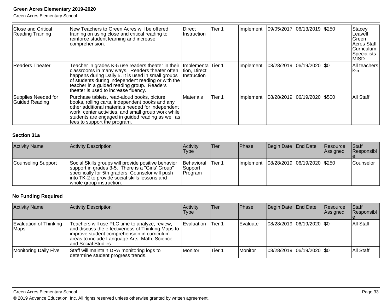Green Acres Elementary School

| <b>Close and Critical</b><br><b>Reading Training</b> | New Teachers to Green Acres will be offered<br>training on using close and critical reading to<br>reinforce student learning and increase<br>comprehension.                                                                                                                                                               | Direct<br><b>Instruction</b> | Tier 1 | Implement | 09/05/2017 06/13/2019 \$250 |  | <b>Stacey</b><br>Leavell<br>lGreen.<br>Acres Staff<br>Curriculum<br>Specialists<br>MISD |
|------------------------------------------------------|---------------------------------------------------------------------------------------------------------------------------------------------------------------------------------------------------------------------------------------------------------------------------------------------------------------------------|------------------------------|--------|-----------|-----------------------------|--|-----------------------------------------------------------------------------------------|
| <b>Readers Theater</b>                               | Teacher in grades K-5 use readers theater in their  Implementa Tier 1<br>classrooms in many ways. Readers theater often<br>happens during Daily 5. It is used in small groups<br>of students during independent reading or with the<br>teacher in a guided reading group. Readers<br>theater is used to increase fluency. | Ition. Direct<br>Instruction |        | Implement | 08/28/2019 06/19/2020 \$0   |  | All teachers<br>lk-5                                                                    |
| Supplies Needed for<br><b>Guided Reading</b>         | Purchase tablets, read-aloud books, picture<br>books, rolling carts, independent books and any<br>other additional materials needed for independent<br>work, center activities, and small group work while<br>students are engaged in guided reading as well as<br>fees to support the program.                           | Materials                    | Tier 1 | Implement | 08/28/2019 06/19/2020 \$500 |  | All Staff                                                                               |

#### **Section 31a**

| <b>Activity Name</b> | Activity Description                                                                                                                                                                                                                        | Activity<br><b>Type</b>           | <b>Tier</b> | <b>Phase</b> | Begin Date End Date           | Resource<br>Assigned | <b>Staff</b><br>Responsibl |
|----------------------|---------------------------------------------------------------------------------------------------------------------------------------------------------------------------------------------------------------------------------------------|-----------------------------------|-------------|--------------|-------------------------------|----------------------|----------------------------|
| Counseling Support   | Social Skills groups will provide positive behavior<br>support in grades 3-5. There is a "Girls' Group"<br>specifically for 5th graders. Counselor will push<br>linto TK-2 to provide social skills lessons and<br>whole group instruction. | Behavioral<br>Support<br> Program | lTier 1     | Implement    | 08/28/2019  06/19/2020  \$250 |                      | <b>Counselor</b>           |

#### **No Funding Required**

| <b>Activity Name</b>           | Activity Description                                                                                                                                                                                                        | <b>Activity</b><br><b>Type</b> | Tier    | <b>Phase</b> | Begin Date End Date |                             | Resource<br>Assigned | <b>Staff</b><br>Responsibl |
|--------------------------------|-----------------------------------------------------------------------------------------------------------------------------------------------------------------------------------------------------------------------------|--------------------------------|---------|--------------|---------------------|-----------------------------|----------------------|----------------------------|
| Evaluation of Thinking<br>Maps | Teachers will use PLC time to analyze, review,<br>and discuss the effectiveness of Thinking Maps to<br>limprove student comprehension in curriculum<br>areas to include Language Arts, Math, Science<br>and Social Studies. | Evaluation                     | lTier 1 | Evaluate     |                     | 08/28/2019  06/19/2020  \$0 |                      | All Staff                  |
| Monitoring Daily Five          | Staff will maintain DRA monitoring logs to<br>Idetermine student progress trends.                                                                                                                                           | Monitor                        | Tier 1  | Monitor      |                     | 08/28/2019 06/19/2020 \$0   |                      | All Staff                  |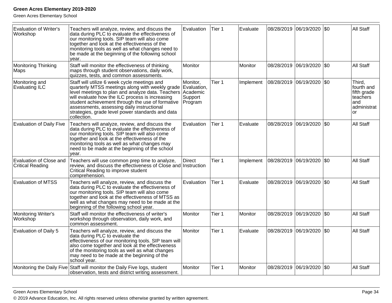| <b>Evaluation of Writer's</b><br>Workshop          | Teachers will analyze, review, and discuss the<br>data during PLC to evaluate the effectiveness of<br>our monitoring tools. SIP team will also come<br>together and look at the effectiveness of the<br>monitoring tools as well as what changes need to<br>be made at the beginning of the following school<br>year.                                                        | Evaluation                                                | Tier 1 | Evaluate  | 08/28/2019 | 06/19/2020 \$0        |         | <b>All Staff</b>                                                             |
|----------------------------------------------------|------------------------------------------------------------------------------------------------------------------------------------------------------------------------------------------------------------------------------------------------------------------------------------------------------------------------------------------------------------------------------|-----------------------------------------------------------|--------|-----------|------------|-----------------------|---------|------------------------------------------------------------------------------|
| Monitoring Thinking<br>Maps                        | Staff will monitor the effectiveness of thinking<br>maps through student observations, daily work,<br>quizzes, tests, and common assessments.                                                                                                                                                                                                                                | <b>Monitor</b>                                            |        | Monitor   | 08/28/2019 | 06/19/2020            | I\$0    | <b>All Staff</b>                                                             |
| Monitoring and<br>Evaluating ILC                   | Staff will utilize 6 week cycle meetings and<br>quarterly MTSS meetings along with weekly grade<br>level meetings to plan and analyze data. Teachers<br>will evaluate how the ILC process is increasing<br>student achievement through the use of formative<br>assessments, assessing daily instructional<br>strategies, grade level power standards and data<br>collection. | Monitor,<br>Evaluation,<br>Academic<br>Support<br>Program | Tier 1 | Implement |            | 08/28/2019 06/19/2020 | $ $ \$0 | Third.<br>fourth and<br>fifth grade<br>teachers<br>and<br>administrat<br>lor |
| <b>Evaluation of Daily Five</b>                    | Teachers will analyze, review, and discuss the<br>data during PLC to evaluate the effectiveness of<br>our monitoring tools. SIP team will also come<br>together and look at the effectiveness of the<br>monitoring tools as well as what changes may<br>need to be made at the beginning of the school<br>vear.                                                              | Evaluation                                                | Tier 1 | Evaluate  |            | 08/28/2019 06/19/2020 | I\$0    | <b>All Staff</b>                                                             |
| Evaluation of Close and<br><b>Critical Reading</b> | Teachers will use common prep time to analyze,<br>review, and discuss the effectiveness of Close and Instruction<br>Critical Reading to improve student<br>comprehension.                                                                                                                                                                                                    | <b>Direct</b>                                             | Tier 1 | Implement | 08/28/2019 | 06/19/2020            | \$0     | <b>All Staff</b>                                                             |
| <b>Evaluation of MTSS</b>                          | Teachers will analyze, review, and discuss the<br>data during PLC to evaluate the effectiveness of<br>our monitoring tools. SIP team will also come<br>together and look at the effectiveness of MTSS as<br>well as what changes may need to be made at the<br>beginning of the following school year.                                                                       | Evaluation                                                | Tier 1 | Evaluate  | 08/28/2019 | 06/19/2020 \$0        |         | All Staff                                                                    |
| Monitoring Writer's<br>Workshop                    | Staff will monitor the effectiveness of writer's<br>workshop through observation, daily work, and<br>common assessment.                                                                                                                                                                                                                                                      | <b>Monitor</b>                                            | Tier 1 | Monitor   | 08/28/2019 | 06/19/2020            | \$0     | <b>All Staff</b>                                                             |
| <b>Evaluation of Daily 5</b>                       | Teachers will analyze, review, and discuss the<br>data during PLC to evaluate the<br>effectiveness of our monitoring tools. SIP team will<br>also come together and look at the effectiveness<br>of the monitoring tools as well as what changes<br>may need to be made at the beginning of the<br>school year.                                                              | Monitor                                                   | Tier 1 | Evaluate  |            | 08/28/2019 06/19/2020 | I\$0    | <b>All Staff</b>                                                             |
|                                                    | Monitoring the Daily Five Staff will monitor the Daily Five logs, student<br>observation, tests and district writing assessment.                                                                                                                                                                                                                                             | Monitor                                                   | Tier 1 | Monitor   | 08/28/2019 | 06/19/2020            | I\$0    | <b>All Staff</b>                                                             |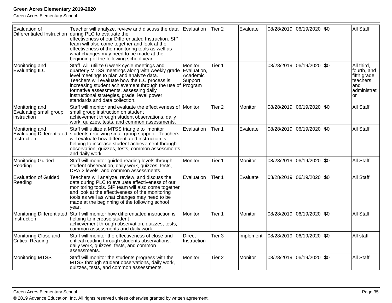| Evaluation of                                                     | Teacher will analyze, review and discuss the data<br>Differentiated Instruction during PLC to evaluate the<br>effectiveness of our Differentiated Instruction. SIP<br>team will also come together and look at the<br>effectiveness of the monitoring tools as well as<br>what changes may need to be made at the<br>beginning of the following school year.                         | Evaluation                                     | Tier <sub>2</sub> | Evaluate  | 08/28/2019 | 06/19/2020 \$0            |           | <b>All Staff</b>                                                                        |
|-------------------------------------------------------------------|--------------------------------------------------------------------------------------------------------------------------------------------------------------------------------------------------------------------------------------------------------------------------------------------------------------------------------------------------------------------------------------|------------------------------------------------|-------------------|-----------|------------|---------------------------|-----------|-----------------------------------------------------------------------------------------|
| Monitoring and<br>Evaluating ILC                                  | Staff will utilize 6 week cycle meetings and<br>quarterly MTSS meetings along with weekly grade<br>level meetings to plan and analyze data.<br>Teachers will evaluate how the ILC process is<br>increasing student achievement through the use of Program<br>formative assessments, assessing daily<br>instructional strategies, grade level power<br>standards and data collection. | Monitor,<br>Evaluation,<br>Academic<br>Support | Tier 1            |           | 08/28/2019 | 06/19/2020                | <b>SO</b> | All third,<br>fourth, and<br>fifth grade<br>teachers<br>and<br>administrat<br><b>or</b> |
| Monitoring and<br>Evaluating small group<br>instruction           | Staff will monitor and evaluate the effectiveness of Monitor<br>small group instruction on student<br>achievement through student observations, daily<br>work, quizzes, tests, and common assessments.                                                                                                                                                                               |                                                | Tier <sub>2</sub> | Monitor   |            | 08/28/2019 06/19/2020     | <b>SO</b> | All Staff                                                                               |
| Monitoring and<br><b>Evaluating Differentiated</b><br>Instruction | Staff will utilize a MTSS triangle to monitor<br>students receiving small group support. Teachers<br>will evaluate how differentiated instruction is<br>helping to increase student achievement through<br>observation, quizzes, tests, common assessments<br>and daily work.                                                                                                        | Evaluation                                     | Tier 1            | Evaluate  |            | 08/28/2019 06/19/2020     | $ $ \$0   | All Staff                                                                               |
| <b>Monitoring Guided</b><br>Reading                               | Staff will monitor guided reading levels through<br>student observation, daily work, quizzes, tests,<br>DRA 2 levels, and common assessments.                                                                                                                                                                                                                                        | Monitor                                        | Tier 1            | Monitor   |            | 08/28/2019 06/19/2020     | \$0       | <b>All Staff</b>                                                                        |
| <b>Evaluation of Guided</b><br>Reading                            | Teachers will analyze, review, and discuss the<br>data during PLC to evaluate effectiveness of our<br>monitoring tools. SIP team will also come together<br>and look at the effectiveness of the monitoring<br>tools as well as what changes may need to be<br>made at the beginning of the following school<br>year.                                                                | Evaluation                                     | Tier 1            | Evaluate  | 08/28/2019 | 06/19/2020                | l\$0      | <b>All Staff</b>                                                                        |
| Monitoring Differentiated<br>Instruction                          | Staff will monitor how differentiated instruction is<br>helping to increase student<br>achievement through observation, quizzes, tests,<br>common assessments and daily work.                                                                                                                                                                                                        | Monitor                                        | Tier 1            | Monitor   |            | 08/28/2019 06/19/2020     | l\$0      | <b>All Staff</b>                                                                        |
| Monitoring Close and<br><b>Critical Reading</b>                   | Staff will monitor the effectiveness of close and<br>critical reading through students observations,<br>daily work, quizzes, tests, and common<br>assessments.                                                                                                                                                                                                                       | Direct<br>Instruction                          | Tier <sub>3</sub> | Implement | 08/28/2019 | 06/19/2020                | $ $ \$0   | All staff                                                                               |
| <b>Monitoring MTSS</b>                                            | Staff will monitor the students progress with the<br>MTSS through student observations, daily work,<br>quizzes, tests, and common assessments.                                                                                                                                                                                                                                       | Monitor                                        | Tier <sub>2</sub> | Monitor   |            | 08/28/2019 06/19/2020 \$0 |           | <b>All Staff</b>                                                                        |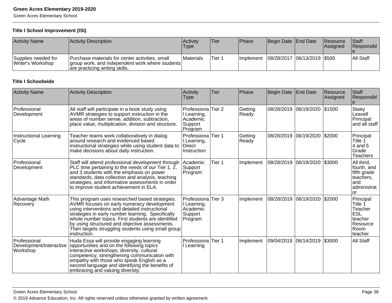Green Acres Elementary School

#### **Title I School Improvement (ISI)**

| <b>Activity Name</b>                     | Activity Description                                                                                                                 | <b>Activity</b><br><b>Type</b> | Tier    | Phase            | Begin Date End Date            | Resource<br>lAssianed | <b>Staff</b><br>Responsibl |
|------------------------------------------|--------------------------------------------------------------------------------------------------------------------------------------|--------------------------------|---------|------------------|--------------------------------|-----------------------|----------------------------|
| Supplies needed for<br>Writer's Workshop | Purchase materials for center activities, small<br>group work, and independent work where students<br>are practicing writing skills. | <b>IMaterials</b>              | 'Tier 1 | <b>Implement</b> | 08/28/2017  06/13/2019   \$500 |                       | All Staff                  |

#### **Title I Schoolwide**

| <b>Activity Name</b>                                | <b>Activity Description</b>                                                                                                                                                                                                                                                                                                                                                       | Activity<br>Type                                             | Tier              | Phase            | Begin Date End Date    |                       | Resource<br>Assigned | Staff<br>Responsibl                                                                      |
|-----------------------------------------------------|-----------------------------------------------------------------------------------------------------------------------------------------------------------------------------------------------------------------------------------------------------------------------------------------------------------------------------------------------------------------------------------|--------------------------------------------------------------|-------------------|------------------|------------------------|-----------------------|----------------------|------------------------------------------------------------------------------------------|
| Professional<br>Development                         | All staff will participate in a book study using<br>AVMR strategies to support instruction in the<br>areas of number sense, addition, subtraction,<br>place value, multiplication, division and structure.                                                                                                                                                                        | Professiona<br>I Learning,<br>Academic<br>Support<br>Program | Tier <sub>2</sub> | Getting<br>Ready | 08/28/2019 06/19/2020  |                       | \$1500               | Staey<br>Leavell<br>Principal<br>and all staff                                           |
| Instructional Learning<br>Cycle                     | Teacher teams work collaboratively in dialog<br>around research and evidenced based<br>instructional strategies while using student data to<br>make decisions about daily instruction.                                                                                                                                                                                            | Professiona<br>I Learning,<br><b>Direct</b><br>Instruction   | Tier 1            | Getting<br>Ready |                        | 08/28/2019 06/19/2020 | \$2000               | Principal<br>Title 1<br>4 and 5<br>Grade<br><b>Teachers</b>                              |
| Professional<br>Development                         | Staff will attend professional development through<br>PLC time pertaining to the needs of our Tier 1, $2$ ,<br>and 3 students with the emphasis on power<br>standards, data collection and analysis, teaching<br>strategies, and informative assessments in order<br>to improve student achievement in ELA.                                                                       | Academic<br>Support<br>Program                               | Tier 1            | Implement        | 08/28/2019 06/19/2020  |                       | \$3000               | All third,<br>fourth, and<br>fifth grade<br>teachers,<br>and<br>administrat<br><b>or</b> |
| Advantage Math<br>Recovery                          | This program uses researched based strategies.<br>AVMR focuses on early numeracy development<br>using interventions and detailed instructional<br>strategies in early number learning. Specifically<br>whole number topics. First students are identified<br>by using structured and objective assessments.<br>Then targets struggling students using small group<br>instruction. | Professiona<br>I Learning,<br>Academic<br>Support<br>Program | Tier 3            | Implement        | 08/28/2019  06/19/2020 |                       | \$2000               | Principal<br>Title 1<br>Teacher<br><b>ESL</b><br>teacher<br>Resource<br>Room<br>teacher  |
| Professional<br>Development/Interactive<br>Workshop | Huda Essa will provide engaging learning<br>opportunities and on the following topics<br>interactive workshops; diversity, cultural<br>competency, strengthening communication with<br>empathy with those who speak English as a<br>second language and identifying the benefits of<br>embracing and valuing diversity.                                                           | Professiona Tier 1<br>Learning                               |                   | Implement        | 09/04/2018 06/14/2019  |                       | \$3000               | <b>All Staff</b>                                                                         |